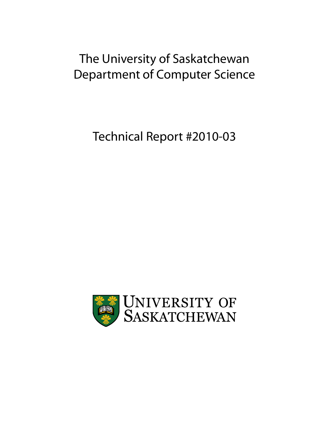# The University of Saskatchewan Department of Computer Science

Technical Report #2010-03

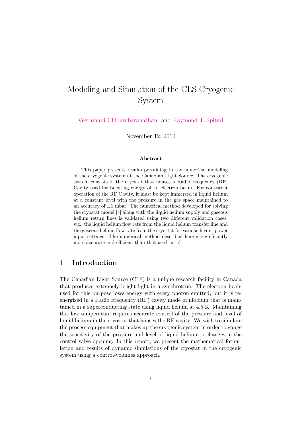## Modeling and Simulation of the CLS Cryogenic System

[Veeramani Chidambaranathan](mailto:c.veeramani@gmail.com) and [Raymond J. Spiteri](mailto:spiteri@cs.usask.ca)

November 12, 2010

#### Abstract

This paper presents results pertaining to the numerical modeling of the cryogenic system at the Canadian Light Source. The cryogenic system consists of the cryostat that houses a Radio Frequency (RF) Cavity used for boosting energy of an electron beam. For consistent operation of the RF Cavity, it must be kept immersed in liquid helium at a constant level with the pressure in the gas space maintained to an accuracy of  $\pm 1$  mbar. The numerical method developed for solving the cryostat model [\[5\]](#page-42-0) along with the liquid helium supply and gaseous helium return lines is validated using two different validation cases, viz., the liquid helium flow rate from the liquid helium transfer line and the gaseous helium flow rate from the cryostat for various heater power input settings. The numerical method described here is significantly more accurate and efficient than that used in  $[6]$ .

## 1 Introduction

The Canadian Light Source (CLS) is a unique research facility in Canada that produces extremely bright light in a synchrotron. The electron beam used for this purpose loses energy with every photon emitted, but it is reenergized in a Radio Frequency (RF) cavity made of niobium that is maintained in a superconducting state using liquid helium at 4.5 K. Maintaining this low temperature requires accurate control of the pressure and level of liquid helium in the cryostat that houses the RF cavity. We wish to simulate the process equipment that makes up the cryogenic system in order to gauge the sensitivity of the pressure and level of liquid helium to changes in the control valve opening. In this report, we present the mathematical formulation and results of dynamic simulations of the cryostat in the cryogenic system using a control-volumes approach.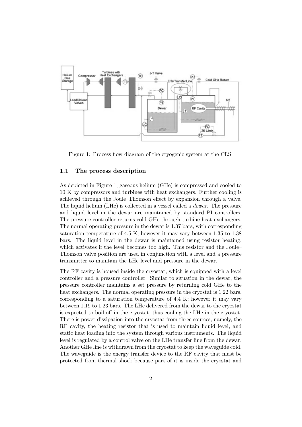

<span id="page-2-0"></span>Figure 1: Process flow diagram of the cryogenic system at the CLS.

#### 1.1 The process description

As depicted in Figure [1,](#page-2-0) gaseous helium (GHe) is compressed and cooled to 10 K by compressors and turbines with heat exchangers. Further cooling is achieved through the Joule–Thomson effect by expansion through a valve. The liquid helium (LHe) is collected in a vessel called a dewar. The pressure and liquid level in the dewar are maintained by standard PI controllers. The pressure controller returns cold GHe through turbine heat exchangers. The normal operating pressure in the dewar is 1.37 bars, with corresponding saturation temperature of 4.5 K; however it may vary between 1.35 to 1.38 bars. The liquid level in the dewar is maintained using resistor heating, which activates if the level becomes too high. This resistor and the Joule– Thomson valve position are used in conjunction with a level and a pressure transmitter to maintain the LHe level and pressure in the dewar.

The RF cavity is housed inside the cryostat, which is equipped with a level controller and a pressure controller. Similar to situation in the dewar, the pressure controller maintains a set pressure by returning cold GHe to the heat exchangers. The normal operating pressure in the cryostat is 1.22 bars, corresponding to a saturation temperature of 4.4 K; however it may vary between 1.19 to 1.23 bars. The LHe delivered from the dewar to the cryostat is expected to boil off in the cryostat, thus cooling the LHe in the cryostat. There is power dissipation into the cryostat from three sources, namely, the RF cavity, the heating resistor that is used to maintain liquid level, and static heat loading into the system through various instruments. The liquid level is regulated by a control valve on the LHe transfer line from the dewar. Another GHe line is withdrawn from the cryostat to keep the waveguide cold. The waveguide is the energy transfer device to the RF cavity that must be protected from thermal shock because part of it is inside the cryostat and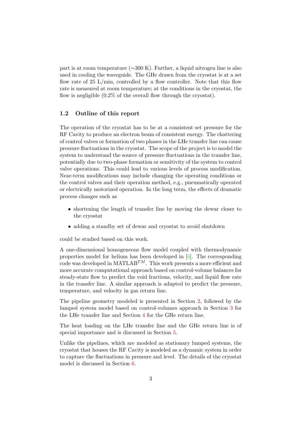part is at room temperature (∼300 K). Further, a liquid nitrogen line is also used in cooling the waveguide. The GHe drawn from the cryostat is at a set flow rate of  $25 \text{ L/min}$ , controlled by a flow controller. Note that this flow rate is measured at room temperature; at the conditions in the cryostat, the flow is negligible  $(0.2\%$  of the overall flow through the cryostat).

#### 1.2 Outline of this report

The operation of the cryostat has to be at a consistent set pressure for the RF Cavity to produce an electron beam of consistent energy. The chattering of control valves or formation of two phases in the LHe transfer line can cause pressure fluctuations in the cryostat. The scope of the project is to model the system to understand the source of pressure fluctuations in the transfer line, potentially due to two-phase formation or sensitivity of the system to control valve operations. This could lead to various levels of process modification. Near-term modifications may include changing the operating conditions or the control valves and their operation method, e.g., pneumatically operated or electrically motorized operation. In the long term, the effects of dramatic process changes such as

- shortening the length of transfer line by moving the dewar closer to the cryostat
- adding a standby set of dewar and cryostat to avoid shutdown

could be studied based on this work.

A one-dimensional homogeneous flow model coupled with thermodynamic properties model for helium has been developed in [\[6\]](#page-42-1). The corresponding code was developed in MATLAB<sup>TM</sup>. This work presents a more efficient and more accurate computational approach based on control-volume balances for steady-state flow to predict the void fractions, velocity, and liquid flow rate in the transfer line. A similar approach is adapted to predict the pressure, temperature, and velocity in gas return line.

The pipeline geometry modeled is presented in Section [2,](#page-4-0) followed by the lumped system model based on control-volumes approach in Section [3](#page-11-0) for the LHe transfer line and Section [4](#page-16-0) for the GHe return line.

The heat loading on the LHe transfer line and the GHe return line is of special importance and is discussed in Section [5.](#page-18-0)

Unlike the pipelines, which are modeled as stationary lumped systems, the cryostat that houses the RF Cavity is modeled as a dynamic system in order to capture the fluctuations in pressure and level. The details of the cryostat model is discussed in Section [6.](#page-21-0)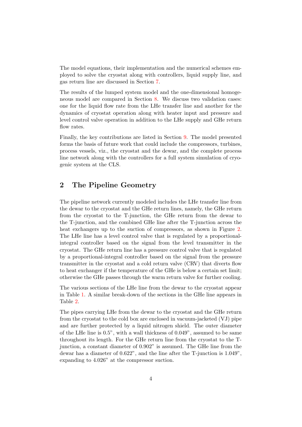The model equations, their implementation and the numerical schemes employed to solve the cryostat along with controllers, liquid supply line, and gas return line are discussed in Section [7.](#page-24-0)

The results of the lumped system model and the one-dimensional homogeneous model are compared in Section [8.](#page-31-0) We discuss two validation cases: one for the liquid flow rate from the LHe transfer line and another for the dynamics of cryostat operation along with heater input and pressure and level control valve operation in addition to the LHe supply and GHe return flow rates.

Finally, the key contributions are listed in Section [9.](#page-41-0) The model presented forms the basis of future work that could include the compressors, turbines, process vessels, viz., the cryostat and the dewar, and the complete process line network along with the controllers for a full system simulation of cryogenic system at the CLS.

## <span id="page-4-0"></span>2 The Pipeline Geometry

The pipeline network currently modeled includes the LHe transfer line from the dewar to the cryostat and the GHe return lines, namely, the GHe return from the cryostat to the T-junction, the GHe return from the dewar to the T-junction, and the combined GHe line after the T-junction across the heat exchangers up to the suction of compressors, as shown in Figure [2.](#page-5-0) The LHe line has a level control valve that is regulated by a proportionalintegral controller based on the signal from the level transmitter in the cryostat. The GHe return line has a pressure control valve that is regulated by a proportional-integral controller based on the signal from the pressure transmitter in the cryostat and a cold return valve (CRV) that diverts flow to heat exchanger if the temperature of the GHe is below a certain set limit; otherwise the GHe passes through the warm return valve for further cooling.

The various sections of the LHe line from the dewar to the cryostat appear in Table [1.](#page-5-1) A similar break-down of the sections in the GHe line appears in Table [2.](#page-6-0)

The pipes carrying LHe from the dewar to the cryostat and the GHe return from the cryostat to the cold box are enclosed in vacuum-jacketed (VJ) pipe and are further protected by a liquid nitrogen shield. The outer diameter of the LHe line is 0.5", with a wall thickness of 0.049", assumed to be same throughout its length. For the GHe return line from the cryostat to the Tjunction, a constant diameter of 0.902" is assumed. The GHe line from the dewar has a diameter of 0.622", and the line after the T-junction is 1.049", expanding to 4.026" at the compressor suction.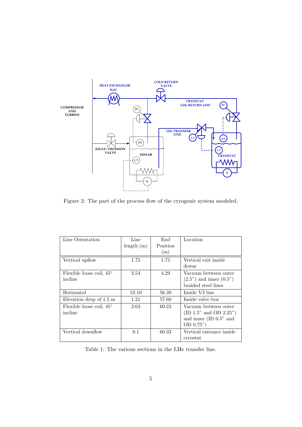

<span id="page-5-0"></span>Figure 2: The part of the process flow of the cryogenic system modeled.

| Line Orientation                  | Line      | End      | Location                                                |
|-----------------------------------|-----------|----------|---------------------------------------------------------|
|                                   | length(m) | Position |                                                         |
|                                   |           | (m)      |                                                         |
| Vertical upflow                   | 1.75      | 1.75     | Vertical exit inside                                    |
|                                   |           |          | dewar                                                   |
| Flexible loose coil, $45^{\circ}$ | 2.54      | 4.29     | Vacuum between outer                                    |
| incline                           |           |          | $(2.5^{\prime\prime})$ and inner $(0.5^{\prime\prime})$ |
|                                   |           |          | braided steel lines                                     |
| Horizontal                        | 52.10     | 56.39    | Inside VJ line                                          |
| Elevation drop of $1.5 \text{ m}$ | 1.21      | 57.60    | Inside valve box                                        |
| Flexible loose coil, $45^{\circ}$ | 2.63      | 60.23    | Vacuum between outer                                    |
| incline                           |           |          | (ID 1.5" and OD 2.25")                                  |
|                                   |           |          | and inner $(ID 0.5"$ and                                |
|                                   |           |          | OD 0.75")                                               |
| Vertical downflow                 | 0.1       | 60.33    | Vertical entrance inside                                |
|                                   |           |          | cryostat                                                |

<span id="page-5-1"></span>Table 1: The various sections in the LHe transfer line.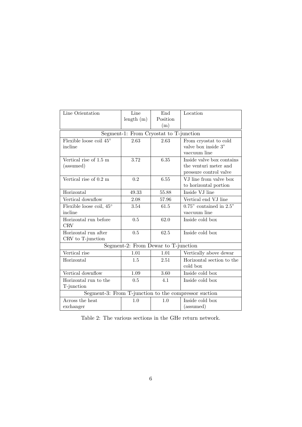| Line Orientation                 | Line                                   | End      | Location                                             |
|----------------------------------|----------------------------------------|----------|------------------------------------------------------|
|                                  | length(m)                              | Position |                                                      |
|                                  |                                        | (m)      |                                                      |
|                                  | Segment-1: From Cryostat to T-junction |          |                                                      |
| Flexible loose coil $45^{\circ}$ | 2.63                                   | 2.63     | From cryostat to cold                                |
| incline                          |                                        |          | valve box inside 3"                                  |
|                                  |                                        |          | vaccuum line                                         |
| Vertical rise of 1.5 m           | 3.72                                   | 6.35     | Inside valve box contains                            |
| (assumed)                        |                                        |          | the venturi meter and                                |
|                                  |                                        |          | pressure control valve                               |
| Vertical rise of 0.2 m           | 0.2                                    | 6.55     | VJ line from valve box                               |
|                                  |                                        |          | to horizontal portion                                |
| Horizontal                       | 49.33                                  | 55.88    | Inside VJ line                                       |
| Vertical downflow                | 2.08                                   | 57.96    | Vertical end VJ line                                 |
| Flexible loose coil, 45°         | 3.54                                   | 61.5     | $0.75$ " contained in $2.5$ "                        |
| incline                          |                                        |          | vaccuum line                                         |
| Horizontal run before            | 0.5                                    | 62.0     | Inside cold box                                      |
| <b>CRV</b>                       |                                        |          |                                                      |
| Horizontal run after             | 0.5                                    | 62.5     | Inside cold box                                      |
| CRV to T-junction                |                                        |          |                                                      |
|                                  | Segment-2: From Dewar to T-junction    |          |                                                      |
| Vertical rise                    | 1.01                                   | 1.01     | Vertically above dewar                               |
| Horizontal                       | 1.5                                    | 2.51     | Horizontal section to the                            |
|                                  |                                        |          | cold box                                             |
| Vertical downflow                | 1.09                                   | 3.60     | Inside cold box                                      |
| Horizontal run to the            | 0.5                                    | 4.1      | Inside cold box                                      |
| T-junction                       |                                        |          |                                                      |
|                                  |                                        |          | Segment-3: From T-junction to the compressor suction |
| Across the heat                  | 1.0                                    | 1.0      | Inside cold box                                      |
| exchanger                        |                                        |          | (assumed)                                            |

<span id="page-6-0"></span>Table 2: The various sections in the GHe return network.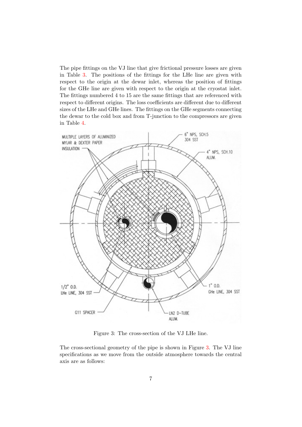The pipe fittings on the VJ line that give frictional pressure losses are given in Table [3.](#page-8-0) The positions of the fittings for the LHe line are given with respect to the origin at the dewar inlet, whereas the position of fittings for the GHe line are given with respect to the origin at the cryostat inlet. The fittings numbered 4 to 15 are the same fittings that are referenced with respect to different origins. The loss coefficients are different due to different sizes of the LHe and GHe lines. The fittings on the GHe segments connecting the dewar to the cold box and from T-junction to the compressors are given in Table [4.](#page-9-0)



<span id="page-7-0"></span>Figure 3: The cross-section of the VJ LHe line.

The cross-sectional geometry of the pipe is shown in Figure [3.](#page-7-0) The VJ line specifications as we move from the outside atmosphere towards the central axis are as follows: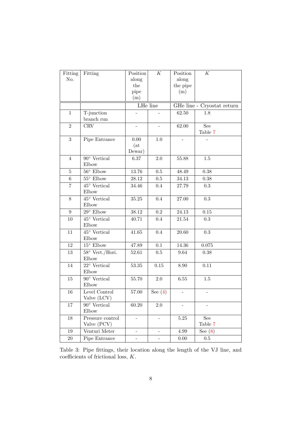| Fitting          | Fitting                      | Position                 | $\cal K$                 | Position | $\cal K$                   |
|------------------|------------------------------|--------------------------|--------------------------|----------|----------------------------|
| No.              |                              | along                    |                          | along    |                            |
|                  |                              | the                      |                          | the pipe |                            |
|                  |                              | pipe                     |                          | (m)      |                            |
|                  |                              | (m)                      |                          |          |                            |
|                  |                              | LHe line                 |                          |          | GHe line - Cryostat return |
| $\mathbf{1}$     | T-junction                   |                          |                          | 62.50    | 1.8                        |
|                  | branch run                   |                          |                          |          |                            |
| $\overline{2}$   | CRV                          | $\overline{\phantom{m}}$ | $\overline{\phantom{a}}$ | 62.00    | See                        |
|                  |                              |                          |                          |          | Table 7                    |
| $\boldsymbol{3}$ | Pipe Entrance                | 0.00                     | 1.0                      |          |                            |
|                  |                              | (at)                     |                          |          |                            |
|                  |                              | Dewar)                   |                          |          |                            |
| $\overline{4}$   | $90^{\circ}$ Vertical        | 6.37                     | 2.0                      | 55.88    | 1.5                        |
|                  | Elbow                        |                          |                          |          |                            |
| 5                | $56^{\circ}$ Elbow           | 13.76                    | 0.5                      | 48.49    | 0.38                       |
| $\,6$            | $55^\circ$ Elbow             | 28.12                    | $0.5\,$                  | 34.13    | 0.38                       |
| $\,7$            | $45^{\circ}$ Vertical        | 34.46                    | 0.4                      | 27.79    | 0.3                        |
|                  | Elbow                        |                          |                          |          |                            |
| 8                | $45^{\circ}$ Vertical        | $35.25\,$                | 0.4                      | 27.00    | 0.3                        |
|                  | Elbow                        |                          |                          |          |                            |
| $\boldsymbol{9}$ | $29^{\circ}$ Elbow           | 38.12                    | $\rm 0.2$                | 24.13    | $0.15\,$                   |
| $10\,$           | $45^{\circ}$ Vertical        | 40.71                    | $0.4\,$                  | 21.54    | 0.3                        |
|                  | Elbow                        |                          |                          |          |                            |
| 11               | $45^{\circ}$ Vertical        | 41.65                    | 0.4                      | 20.60    | 0.3                        |
|                  | Elbow                        |                          |                          |          |                            |
| 12               | $15^{\circ}$ Elbow           | 47.89                    | 0.1                      | 14.36    | 0.075                      |
| $13\,$           | 58° Vert./Hori.              | 52.61                    | 0.5                      | 9.64     | 0.38                       |
|                  | Elbow                        |                          |                          |          |                            |
| 14               | $22^{\circ}$ Vertical        | 53.35                    | $0.15\,$                 | 8.90     | 0.11                       |
|                  | Elbow                        |                          |                          |          |                            |
| 15               | $90^{\circ}$ Vertical        | 55.70                    | 2.0                      | $6.55\,$ | $1.5\,$                    |
|                  | Elbow                        |                          |                          |          |                            |
| 16               | Level Control<br>Valve (LCV) | 57.00                    | See $(4)$                |          |                            |
| 17               | $90^{\circ}$ Vertical        | 60.20                    | $2.0\,$                  |          |                            |
|                  | Elbow                        |                          |                          |          |                            |
| 18               | Pressure control             | $\overline{\phantom{0}}$ | $\overline{\phantom{0}}$ | $5.25\,$ | See                        |
|                  | Valve (PCV)                  |                          |                          |          | Table 7                    |
| 19               | Venturi Meter                | $\overline{\phantom{0}}$ |                          | 4.99     | See $(8)$                  |
| $20\,$           | Pipe Entrance                | $\overline{\phantom{0}}$ | $\overline{\phantom{0}}$ | $0.00\,$ | $0.5\,$                    |

<span id="page-8-0"></span>Table 3: Pipe fittings, their location along the length of the VJ line, and coefficients of frictional loss, K.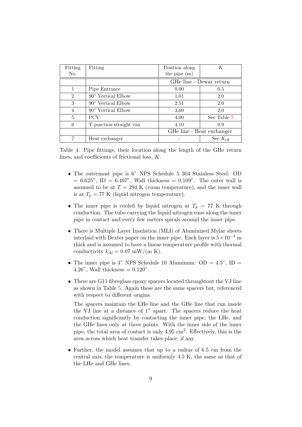| Fitting        | Fitting                     | Position along | К                         |
|----------------|-----------------------------|----------------|---------------------------|
| No.            |                             | the pipe $(m)$ |                           |
|                |                             |                | GHe line - Dewar return   |
|                | Pipe Entrance               | 0.00           | 0.5                       |
| $\overline{2}$ | $90^{\circ}$ Vertical Elbow | 1.01           | 2.0                       |
| 3              | $90^{\circ}$ Vertical Elbow | 2.51           | 2.0                       |
| 4              | $90^{\circ}$ Vertical Elbow | 3.60           | 2.0                       |
| 5              | <b>PCV</b>                  | 4.00           | See Table 7               |
| 6              | T-junction straight run     | 4.10           | 0.9                       |
|                |                             |                | GHe line - Heat exchanger |
|                | Heat exchanger              |                | See $K_{\text{eff}}$      |

<span id="page-9-0"></span>Table 4: Pipe fittings, their location along the length of the GHe return lines, and coefficients of frictional loss, K.

- The outermost pipe is 6" NPS Schedule 5 304 Stainless Steel: OD  $= 6.625$ ", ID  $= 6.407$ ", Wall thickness  $= 0.109$ ". The outer wall is assumed to be at  $T = 294$  K (room temperature), and the inner wall is at  $T_p = 77$  K (liquid nitrogen temperature).
- The inner pipe is cooled by liquid nitrogen at  $T_p = 77$  K through conduction. The tube carrying the liquid nitrogen runs along the inner pipe in contact and every few meters spirals around the inner pipe.
- There is Multiple Layer Insulation (MLI) of Aluminized Mylar sheets interlaid with Dexter paper on the inner pipe. Each layer is  $5 \times 10^{-4}$  m thick and is assumed to have a linear temperature profile with thermal conductivity  $k_{Al} = 0.07$  mW/(m K).
- The inner pipe is 4" NPS Schedule 10 Aluminum:  $OD = 4.5$ ",  $ID =$ 4.26", Wall thickness  $= 0.120"$ .
- There are G11 fibreglass epoxy spacers located throughtout the VJ line as shown in Table [5.](#page-10-0) Again these are the same spacers but, referenced with respect to different origins.

The spacers maintain the LHe line and the GHe line that run inside the VJ line at a distance of 1" apart. The spacers reduce the heat conduction significantly by contacting the inner pipe, the LHe, and the GHe lines only at three points. With the inner side of the inner pipe, the total area of contact is only  $4.95 \text{ cm}^2$ . Effectively, this is the area across which heat transfer takes place, if any.

• Further, the model assumes that up to a radius of 6.5 cm from the central axis, the temperature is uniformly 4.5 K, the same as that of the LHe and GHe lines.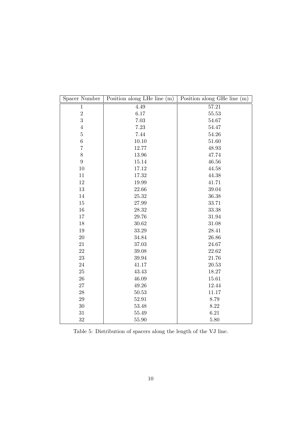| Spacer Number    | Position along LHe line (m) | Position along GHe line (m) |
|------------------|-----------------------------|-----------------------------|
| $\mathbf{1}$     | 4.49                        | 57.21                       |
| $\,2$            | $6.17\,$                    | 55.53                       |
| 3                | 7.03                        | 54.67                       |
| $\overline{4}$   | 7.23                        | 54.47                       |
| $\bf 5$          | 7.44                        | 54.26                       |
| $\,6$            | 10.10                       | 51.60                       |
| $\overline{7}$   | 12.77                       | 48.93                       |
| 8                | 13.96                       | 47.74                       |
| $\boldsymbol{9}$ | 15.14                       | 46.56                       |
| 10               | 17.12                       | 44.58                       |
| 11               | 17.32                       | 44.38                       |
| $12\,$           | 19.99                       | 41.71                       |
| 13               | 22.66                       | 39.04                       |
| 14               | 25.32                       | 36.38                       |
| 15               | 27.99                       | 33.71                       |
| 16               | 28.32                       | 33.38                       |
| 17               | 29.76                       | 31.94                       |
| 18               | 30.62                       | 31.08                       |
| 19               | 33.29                       | 28.41                       |
| $20\,$           | 34.84                       | 26.86                       |
| 21               | 37.03                       | 24.67                       |
| $22\,$           | 39.08                       | 22.62                       |
| $23\,$           | 39.94                       | 21.76                       |
| $24\,$           | 41.17                       | 20.53                       |
| $25\,$           | 43.43                       | 18.27                       |
| 26               | 46.09                       | 15.61                       |
| $27\,$           | 49.26                       | 12.44                       |
| ${\bf 28}$       | 50.53                       | 11.17                       |
| $\,29$           | 52.91                       | 8.79                        |
| 30               | 53.48                       | 8.22                        |
| 31               | 55.49                       | 6.21                        |
| 32               | 55.90                       | 5.80                        |

<span id="page-10-0"></span>Table 5: Distribution of spacers along the length of the VJ line.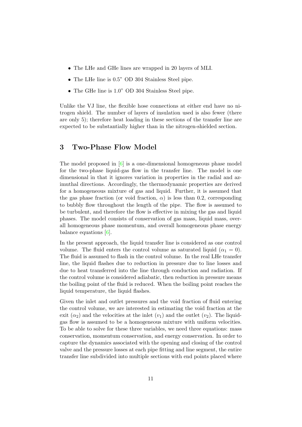- The LHe and GHe lines are wrapped in 20 layers of MLI.
- The LHe line is 0.5" OD 304 Stainless Steel pipe.
- The GHe line is 1.0" OD 304 Stainless Steel pipe.

Unlike the VJ line, the flexible hose connections at either end have no nitrogen shield. The number of layers of insulation used is also fewer (there are only 5); therefore heat loading in these sections of the transfer line are expected to be substantially higher than in the nitrogen-shielded section.

## <span id="page-11-0"></span>3 Two-Phase Flow Model

The model proposed in [\[6\]](#page-42-1) is a one-dimensional homogeneous phase model for the two-phase liquid-gas flow in the transfer line. The model is one dimensional in that it ignores variation in properties in the radial and azimuthal directions. Accordingly, the thermodynamic properties are derived for a homogeneous mixture of gas and liquid. Further, it is assumed that the gas phase fraction (or void fraction,  $\alpha$ ) is less than 0.2, corresponding to bubbly flow throughout the length of the pipe. The flow is assumed to be turbulent, and therefore the flow is effective in mixing the gas and liquid phases. The model consists of conservation of gas mass, liquid mass, overall homogeneous phase momentum, and overall homogeneous phase energy balance equations [\[6\]](#page-42-1).

In the present approach, the liquid transfer line is considered as one control volume. The fluid enters the control volume as saturated liquid ( $\alpha_1 = 0$ ). The fluid is assumed to flash in the control volume. In the real LHe transfer line, the liquid flashes due to reduction in pressure due to line losses and due to heat transferred into the line through conduction and radiation. If the control volume is considered adiabatic, then reduction in pressure means the boiling point of the fluid is reduced. When the boiling point reaches the liquid temperature, the liquid flashes.

Given the inlet and outlet pressures and the void fraction of fluid entering the control volume, we are interested in estimating the void fraction at the exit  $(\alpha_2)$  and the velocities at the inlet  $(v_1)$  and the outlet  $(v_2)$ . The liquidgas flow is assumed to be a homogeneous mixture with uniform velocities. To be able to solve for these three variables, we need three equations: mass conservation, momentum conservation, and energy conservation. In order to capture the dynamics associated with the opening and closing of the control valve and the pressure losses at each pipe fitting and line segment, the entire transfer line subdivided into multiple sections with end points placed where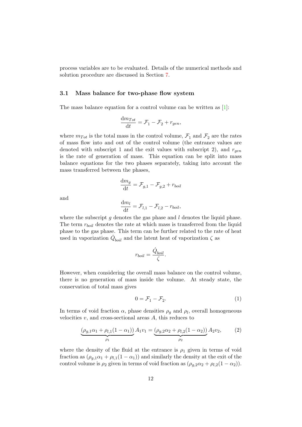process variables are to be evaluated. Details of the numerical methods and solution procedure are discussed in Section [7.](#page-24-0)

#### 3.1 Mass balance for two-phase flow system

The mass balance equation for a control volume can be written as [\[1\]](#page-42-2):

$$
\frac{\mathrm{d}m_{Tot}}{\mathrm{d}t} = \mathcal{F}_1 - \mathcal{F}_2 + r_{gen},
$$

where  $m_{Tot}$  is the total mass in the control volume,  $\mathcal{F}_1$  and  $\mathcal{F}_2$  are the rates of mass flow into and out of the control volume (the entrance values are denoted with subscript 1 and the exit values with subscript 2), and  $r_{gen}$ is the rate of generation of mass. This equation can be split into mass balance equations for the two phases separately, taking into account the mass transferred between the phases,

$$
\frac{\mathrm{d}m_g}{\mathrm{d}t} = \mathcal{F}_{g,1} - \mathcal{F}_{g,2} + r_{boil}
$$

and

$$
\frac{\mathrm{d}m_l}{\mathrm{d}t} = \mathcal{F}_{l,1} - \mathcal{F}_{l,2} - r_{boil},
$$

where the subscript  $q$  denotes the gas phase and  $l$  denotes the liquid phase. The term  $r_{boil}$  denotes the rate at which mass is transferred from the liquid phase to the gas phase. This term can be further related to the rate of heat used in vaporization  $\dot{Q}_{boil}$  and the latent heat of vaporization  $\zeta$  as

$$
r_{boil} = \frac{\dot{Q}_{boil}}{\zeta}.
$$

However, when considering the overall mass balance on the control volume, there is no generation of mass inside the volume. At steady state, the conservation of total mass gives

<span id="page-12-1"></span>
$$
0 = \mathcal{F}_1 - \mathcal{F}_2. \tag{1}
$$

In terms of void fraction  $\alpha$ , phase densities  $\rho_g$  and  $\rho_l$ , overall homogeneous velocities  $v$ , and cross-sectional areas  $A$ , this reduces to

<span id="page-12-0"></span>
$$
\underbrace{(\rho_{g,1}\alpha_1 + \rho_{l,1}(1-\alpha_1))}_{\rho_1}A_1v_1 = \underbrace{(\rho_{g,2}\alpha_2 + \rho_{l,2}(1-\alpha_2))}_{\rho_2}A_2v_2, \qquad (2)
$$

where the density of the fluid at the entrance is  $\rho_1$  given in terms of void fraction as  $(\rho_{g,1}\alpha_1 + \rho_{l,1}(1-\alpha_1))$  and similarly the density at the exit of the control volume is  $\rho_2$  given in terms of void fraction as  $(\rho_{q,2}\alpha_2 + \rho_{l,2}(1-\alpha_2)).$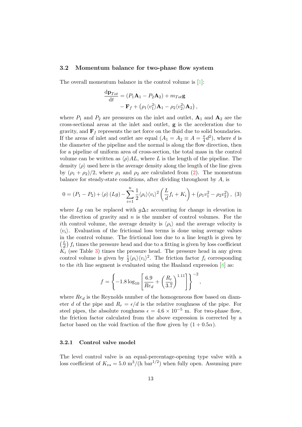#### 3.2 Momentum balance for two-phase flow system

The overall momentum balance in the control volume is [\[1\]](#page-42-2):

$$
\frac{\mathrm{d}\mathbf{p}_{Tot}}{\mathrm{d}t} = (P_1\mathbf{A}_1 - P_2\mathbf{A}_2) + m_{Tot}\mathbf{g}
$$

$$
-\mathbf{F}_f + (\rho_1 \langle v_1^2 \rangle \mathbf{A}_1 - \rho_2 \langle v_2^2 \rangle \mathbf{A}_2),
$$

where  $P_1$  and  $P_2$  are pressures on the inlet and outlet,  $A_1$  and  $A_2$  are the cross-sectional areas at the inlet and outlet, g is the acceleration due to gravity, and  $\mathbf{F}_f$  represents the net force on the fluid due to solid boundaries. If the areas of inlet and outlet are equal  $(A_1 = A_2 \equiv A = \frac{\pi}{4})$  $\frac{\pi}{4}d^2$ , where d is the diameter of the pipeline and the normal is along the flow direction, then for a pipeline of uniform area of cross-section, the total mass in the control volume can be written as  $\langle \rho \rangle A L$ , where L is the length of the pipeline. The density  $\langle \rho \rangle$  used here is the average density along the length of the line given by  $(\rho_1 + \rho_2)/2$ , where  $\rho_1$  and  $\rho_2$  are calculated from [\(2\)](#page-12-0). The momentum balance for steady-state conditions, after dividing throughout by  $A$ , is

<span id="page-13-0"></span>
$$
0 = (P_1 - P_2) + \langle \rho \rangle (Lg) - \sum_{i=1}^{n} \frac{1}{2} \langle \rho_i \rangle \langle v_i \rangle^2 \left( \frac{L}{d} f_i + K_i \right) + (\rho_1 v_1^2 - \rho_2 v_2^2), (3)
$$

where Lq can be replaced with  $q\Delta z$  accounting for change in elevation in the direction of gravity and  $n$  is the number of control volumes. For the ith control volume, the average density is  $\langle \rho_i \rangle$  and the average velocity is  $\langle v_i \rangle$ . Evaluation of the frictional loss terms is done using average values in the control volume. The frictional loss due to a line length is given by  $\frac{L}{J}$  $\frac{L}{d}$  f<sub>i</sub> times the pressure head and due to a fitting is given by loss coefficient  $K_i$  (see Table [3\)](#page-8-0) times the pressure head. The pressure head in any given control volume is given by  $\frac{1}{2} \langle \rho_i \rangle \langle v_i \rangle^2$ . The friction factor  $f_i$  corresponding to the *i*th line segment is evaluated using the Haaland expression  $[8]$  as:

$$
f = \left\{-1.8 \log_{10} \left[ \frac{6.9}{Re_d} + \left( \frac{R_r}{3.7} \right)^{1.11} \right] \right\}^{-2},
$$

where  $Re_d$  is the Reynolds number of the homogeneous flow based on diameter d of the pipe and  $R_r = \epsilon/d$  is the relative roughness of the pipe. For steel pipes, the absolute roughness  $\epsilon = 4.6 \times 10^{-5}$  m. For two-phase flow, the friction factor calculated from the above expression is corrected by a factor based on the void fraction of the flow given by  $(1+0.5\alpha)$ .

#### <span id="page-13-1"></span>3.2.1 Control valve model

The level control valve is an equal-percentage-opening type valve with a loss coefficient of  $K_{vs} = 5.0 \text{ m}^3/(\text{h} \text{ bar}^{1/2})$  when fully open. Assuming pure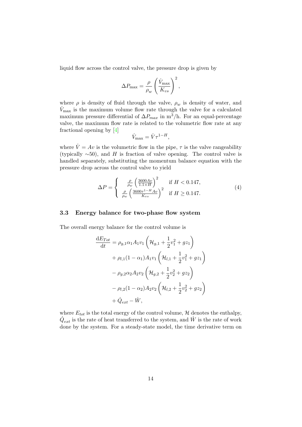liquid flow across the control valve, the pressure drop is given by

$$
\Delta P_{\text{max}} = \frac{\rho}{\rho_w} \left( \frac{\dot{V}_{\text{max}}}{K_{vs}} \right)^2,
$$

where  $\rho$  is density of fluid through the valve,  $\rho_w$  is density of water, and  $\dot{V}_{\text{max}}$  is the maximum volume flow rate through the valve for a calculated maximum pressure differential of  $\Delta P_{max}$  in m<sup>3</sup>/h. For an equal-percentage valve, the maximum flow rate is related to the volumetric flow rate at any fractional opening by [\[4\]](#page-42-4)

$$
\dot{V}_{\text{max}} = \dot{V} \tau^{1-H},
$$

where  $\dot{V} = Av$  is the volumetric flow in the pipe,  $\tau$  is the valve rangeability (typically  $~\sim 50$ ), and H is fraction of valve opening. The control valve is handled separately, substituting the momentum balance equation with the pressure drop across the control valve to yield

<span id="page-14-0"></span>
$$
\Delta P = \begin{cases} \frac{\rho}{\rho_w} \left(\frac{3600Av}{1.1 \times H}\right)^2 & \text{if } H < 0.147, \\ \frac{\rho}{\rho_w} \left(\frac{3600\tau^{1-H}Av}{K_{vs}}\right)^2 & \text{if } H \ge 0.147. \end{cases}
$$
(4)

#### 3.3 Energy balance for two-phase flow system

The overall energy balance for the control volume is

$$
\frac{dE_{Tot}}{dt} = \rho_{g,1}\alpha_1 A_1 v_1 \left(\mathcal{H}_{g,1} + \frac{1}{2}v_1^2 + gz_1\right) \n+ \rho_{l,1}(1 - \alpha_1)A_1 v_1 \left(\mathcal{H}_{l,1} + \frac{1}{2}v_1^2 + gz_1\right) \n- \rho_{g,2}\alpha_2 A_2 v_2 \left(\mathcal{H}_{g,2} + \frac{1}{2}v_2^2 + gz_2\right) \n- \rho_{l,2}(1 - \alpha_2)A_2 v_2 \left(\mathcal{H}_{l,2} + \frac{1}{2}v_2^2 + gz_2\right) \n+ \dot{Q}_{ext} - \dot{W},
$$

where  $E_{tot}$  is the total energy of the control volume,  $H$  denotes the enthalpy,  $\dot{Q}_{ext}$  is the rate of heat transferred to the system, and  $\dot{W}$  is the rate of work done by the system. For a steady-state model, the time derivative term on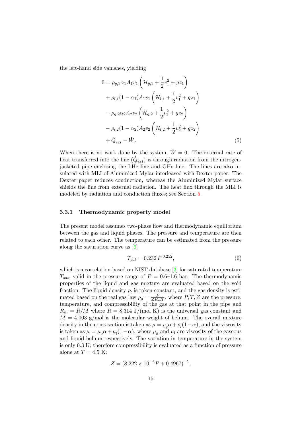the left-hand side vanishes, yielding

<span id="page-15-1"></span>
$$
0 = \rho_{g,1}\alpha_1 A_1 v_1 \left(\mathcal{H}_{g,1} + \frac{1}{2}v_1^2 + gz_1\right) + \rho_{l,1}(1 - \alpha_1)A_1 v_1 \left(\mathcal{H}_{l,1} + \frac{1}{2}v_1^2 + gz_1\right) - \rho_{g,2}\alpha_2 A_2 v_2 \left(\mathcal{H}_{g,2} + \frac{1}{2}v_2^2 + gz_2\right) - \rho_{l,2}(1 - \alpha_2)A_2 v_2 \left(\mathcal{H}_{l,2} + \frac{1}{2}v_2^2 + gz_2\right) + \dot{Q}_{ext} - \dot{W}.
$$
 (5)

When there is no work done by the system,  $\dot{W} = 0$ . The external rate of heat transferred into the line  $(\dot{Q}_{ext})$  is through radiation from the nitrogenjacketed pipe enclosing the LHe line and GHe line. The lines are also insulated with MLI of Aluminized Mylar interleaved with Dexter paper. The Dexter paper reduces conduction, whereas the Aluminized Mylar surface shields the line from external radiation. The heat flux through the MLI is modeled by radiation and conduction fluxes; see Section [5.](#page-18-0)

#### <span id="page-15-0"></span>3.3.1 Thermodynamic property model

The present model assumes two-phase flow and thermodynamic equilibrium between the gas and liquid phases. The pressure and temperature are then related to each other. The temperature can be estimated from the pressure along the saturation curve as [\[6\]](#page-42-1)

<span id="page-15-2"></span>
$$
T_{sat} = 0.232 P^{0.252},\tag{6}
$$

which is a correlation based on NIST database  $[3]$  for saturated temperature  $T_{sat}$ , valid in the pressure range of  $P = 0.6{\text -}1.6$  bar. The thermodynamic properties of the liquid and gas mixture are evaluated based on the void fraction. The liquid density  $\rho_l$  is taken constant, and the gas density is estimated based on the real gas law  $\rho_g = \frac{F}{ZR_0}$  $\frac{P}{ZR_mT}$ , where  $P, T, Z$  are the pressure, temperature, and compressibility of the gas at that point in the pipe and  $R_m = R/M$  where  $R = 8.314$  J/(mol K) is the universal gas constant and  $M = 4.003$  g/mol is the molecular weight of helium. The overall mixture density in the cross-section is taken as  $\rho = \rho_g \alpha + \rho_l (1 - \alpha)$ , and the viscosity is taken as  $\mu = \mu_g \alpha + \mu_l (1 - \alpha)$ , where  $\mu_g$  and  $\mu_l$  are viscosity of the gaseous and liquid helium respectively. The variation in temperature in the system is only 0.3 K; therefore compressibility is evaluated as a function of pressure alone at  $T = 4.5$  K:

$$
Z = (8.222 \times 10^{-6} P + 0.4967)^{-1},
$$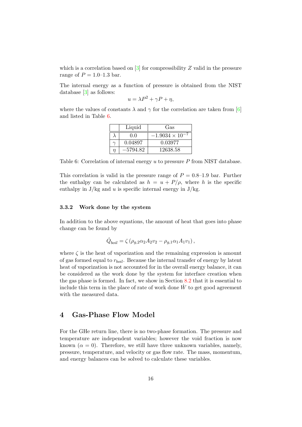which is a correlation based on  $\boxed{3}$  for compressibility Z valid in the pressure range of  $P = 1.0{\text -}1.3$  bar.

The internal energy as a function of pressure is obtained from the NIST database [\[3\]](#page-42-5) as follows:

$$
u = \lambda P^2 + \gamma P + \eta,
$$

where the values of constants  $\lambda$  and  $\gamma$  for the correlation are taken from [\[6\]](#page-42-1) and listed in Table [6.](#page-16-1)

|   | Liquid     | Gas                      |
|---|------------|--------------------------|
|   | 0.0        | $-1.9034 \times 10^{-7}$ |
|   | 0.04897    | 0.03977                  |
| n | $-5794.82$ | 12638.58                 |

<span id="page-16-1"></span>Table 6: Correlation of internal energy u to pressure P from NIST database.

This correlation is valid in the pressure range of  $P = 0.8{\text -}1.9$  bar. Further the enthalpy can be calculated as  $h = u + P/\rho$ , where h is the specific enthalpy in  $J/kg$  and u is specific internal energy in  $J/kg$ .

#### 3.3.2 Work done by the system

In addition to the above equations, the amount of heat that goes into phase change can be found by

$$
\dot{Q}_{boil} = \zeta \left( \rho_{g,2} \alpha_2 A_2 v_2 - \rho_{g,1} \alpha_1 A_1 v_1 \right),\,
$$

where  $\zeta$  is the heat of vaporization and the remaining expression is amount of gas formed equal to  $r_{boil}$ . Because the internal transfer of energy by latent heat of vaporization is not accounted for in the overall energy balance, it can be considered as the work done by the system for interface creation when the gas phase is formed. In fact, we show in Section [8.2](#page-33-0) that it is essential to include this term in the place of rate of work done  $W$  to get good agreement with the measured data.

## <span id="page-16-0"></span>4 Gas-Phase Flow Model

For the GHe return line, there is no two-phase formation. The pressure and temperature are independent variables; however the void fraction is now known  $(\alpha = 0)$ . Therefore, we still have three unknown variables, namely, pressure, temperature, and velocity or gas flow rate. The mass, momentum, and energy balances can be solved to calculate these variables.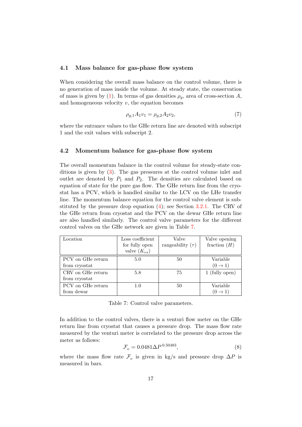#### 4.1 Mass balance for gas-phase flow system

When considering the overall mass balance on the control volume, there is no generation of mass inside the volume. At steady state, the conservation of mass is given by [\(1\)](#page-12-1). In terms of gas densities  $\rho_q$ , area of cross-section A, and homogeneous velocity  $v$ , the equation becomes

<span id="page-17-2"></span>
$$
\rho_{g,1}A_1v_1 = \rho_{g,2}A_2v_2,\tag{7}
$$

where the entrance values to the GHe return line are denoted with subscript 1 and the exit values with subscript 2.

#### 4.2 Momentum balance for gas-phase flow system

The overall momentum balance in the control volume for steady-state conditions is given by [\(3\)](#page-13-0). The gas pressures at the control volume inlet and outlet are denoted by  $P_1$  and  $P_2$ . The densities are calculated based on equation of state for the pure gas flow. The GHe return line from the cryostat has a PCV, which is handled similar to the LCV on the LHe transfer line. The momentum balance equation for the control valve element is substituted by the pressure drop equation [\(4\)](#page-14-0); see Section [3.2.1.](#page-13-1) The CRV of the GHe return from cryostat and the PCV on the dewar GHe return line are also handled similarly. The control valve parameters for the different control valves on the GHe network are given in Table [7.](#page-17-0)

| Location          | Loss coefficient<br>for fully open | Valve<br>rangeability $(\tau)$ | Valve opening<br>fraction $(H)$ |
|-------------------|------------------------------------|--------------------------------|---------------------------------|
|                   | valve $(K_{vs})$                   |                                |                                 |
| PCV on GHe return | 5.0                                | 50                             | Variable                        |
| from cryostat     |                                    |                                | $(0 \rightarrow 1)$             |
| CRV on GHe return | 5.8                                | 75                             | 1 (fully open)                  |
| from cryostat     |                                    |                                |                                 |
| PCV on GHe return | 1.0                                | 50                             | Variable                        |
| from dewar        |                                    |                                | $(0 \rightarrow 1)$             |

<span id="page-17-0"></span>Table 7: Control valve parameters.

In addition to the control valves, there is a venturi flow meter on the GHe return line from cryostat that causes a pressure drop. The mass flow rate measured by the venturi meter is correlated to the pressure drop across the meter as follows:

<span id="page-17-1"></span>
$$
\mathcal{F}_v = 0.0481 \Delta P^{0.50483},\tag{8}
$$

where the mass flow rate  $\mathcal{F}_v$  is given in kg/s and pressure drop  $\Delta P$  is measured in bars.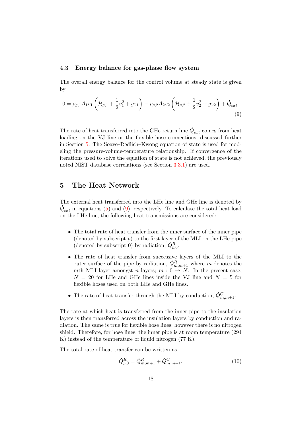#### 4.3 Energy balance for gas-phase flow system

The overall energy balance for the control volume at steady state is given by

<span id="page-18-1"></span>
$$
0 = \rho_{g,1} A_1 v_1 \left( \mathcal{H}_{g,1} + \frac{1}{2} v_1^2 + g z_1 \right) - \rho_{g,2} A_2 v_2 \left( \mathcal{H}_{g,2} + \frac{1}{2} v_2^2 + g z_2 \right) + \dot{Q}_{ext}.
$$
\n(9)

The rate of heat transferred into the GHe return line  $\dot{Q}_{ext}$  comes from heat loading on the VJ line or the flexible hose connections, discussed further in Section [5.](#page-18-0) The Soave–Redlich–Kwong equation of state is used for modeling the pressure-volume-temperature relationship. If convergence of the iterations used to solve the equation of state is not achieved, the previously noted NIST database correlations (see Section [3.3.1\)](#page-15-0) are used.

## <span id="page-18-0"></span>5 The Heat Network

The external heat transferred into the LHe line and GHe line is denoted by  $\dot{Q}_{ext}$  in equations [\(5\)](#page-15-1) and [\(9\)](#page-18-1), respectively. To calculate the total heat load on the LHe line, the following heat transmissions are considered:

- The total rate of heat transfer from the inner surface of the inner pipe (denoted by subscript  $p$ ) to the first layer of the MLI on the LHe pipe (denoted by subscript 0) by radiation,  $\dot{Q}_{p,0}^R$ .
- The rate of heat transfer from successive layers of the MLI to the outer surface of the pipe by radiation,  $\dot{Q}_{m,m+1}^R$  where m denotes the mth MLI layer amongst n layers;  $m: 0 \to N$ . In the present case,  $N = 20$  for LHe and GHe lines inside the VJ line and  $N = 5$  for flexible hoses used on both LHe and GHe lines.
- The rate of heat transfer through the MLI by conduction,  $\dot{Q}_{m,m+1}^C$ .

The rate at which heat is transferred from the inner pipe to the insulation layers is then transferred across the insulation layers by conduction and radiation. The same is true for flexible hose lines; however there is no nitrogen shield. Therefore, for hose lines, the inner pipe is at room temperature (294 K) instead of the temperature of liquid nitrogen (77 K).

The total rate of heat transfer can be written as

$$
\dot{Q}_{p,0}^R = \dot{Q}_{m,m+1}^R + \dot{Q}_{m,m+1}^C.
$$
\n(10)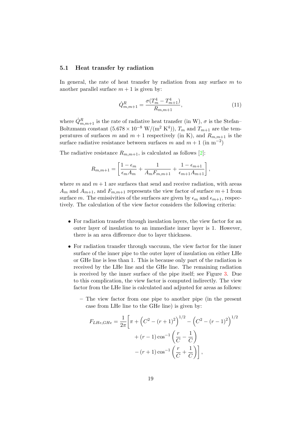#### 5.1 Heat transfer by radiation

In general, the rate of heat transfer by radiation from any surface  $m$  to another parallel surface  $m + 1$  is given by:

$$
\dot{Q}_{m,m+1}^{R} = \frac{\sigma (T_m^4 - T_{m+1}^4)}{R_{m,m+1}},\tag{11}
$$

where  $\dot{Q}_{m,m+1}^R$  is the rate of radiative heat transfer (in W),  $\sigma$  is the Stefan– Boltzmann constant  $(5.678 \times 10^{-8} \text{ W/(m}^2 \text{ K}^4))$ ,  $T_m$  and  $T_{m+1}$  are the temperatures of surfaces m and  $m + 1$  respectively (in K), and  $R_{m,m+1}$  is the surface radiative resistance between surfaces m and  $m + 1$  (in m<sup>-2</sup>)

The radiative resistance  $R_{m,m+1}$ , is calculated as follows [\[2\]](#page-42-6):

$$
R_{m,m+1} = \left[\frac{1 - \epsilon_m}{\epsilon_m A_m} + \frac{1}{A_m F_{m,m+1}} + \frac{1 - \epsilon_{m+1}}{\epsilon_{m+1} A_{m+1}}\right],
$$

where m and  $m + 1$  are surfaces that send and receive radiation, with areas  $A_m$  and  $A_{m+1}$ , and  $F_{m,m+1}$  represents the view factor of surface  $m+1$  from surface m. The emissivities of the surfaces are given by  $\epsilon_m$  and  $\epsilon_{m+1}$ , respectively. The calculation of the view factor considers the following criteria:

- For radiation transfer through insulation layers, the view factor for an outer layer of insulation to an immediate inner layer is 1. However, there is an area difference due to layer thickness.
- For radiation transfer through vaccuum, the view factor for the inner surface of the inner pipe to the outer layer of insulation on either LHe or GHe line is less than 1. This is because only part of the radiation is received by the LHe line and the GHe line. The remaining radiation is received by the inner surface of the pipe itself; see Figure [3.](#page-7-0) Due to this complication, the view factor is computed indirectly. The view factor from the LHe line is calculated and adjusted for areas as follows:
	- The view factor from one pipe to another pipe (in the present case from LHe line to the GHe line) is given by:

$$
F_{LHe,GHe} = \frac{1}{2\pi} \left[ \pi + \left( C^2 - (r+1)^2 \right)^{1/2} - \left( C^2 - (r-1)^2 \right)^{1/2} + (r-1)\cos^{-1} \left( \frac{r}{C} - \frac{1}{C} \right) - (r+1)\cos^{-1} \left( \frac{r}{C} + \frac{1}{C} \right) \right],
$$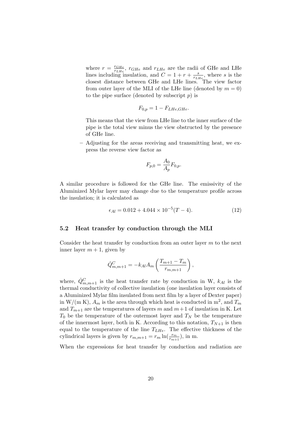where  $r = \frac{r_{GHe}}{r_{HH}}$  $\frac{r_{GHe}}{r_{LHe}}$ ,  $r_{GHe}$  and  $r_{LHe}$  are the radii of GHe and LHe lines including insulation, and  $C = 1 + r + \frac{s}{r}$  $\frac{s}{r_{LHe}}$ , where *s* is the closest distance between GHe and LHe lines. The view factor from outer layer of the MLI of the LHe line (denoted by  $m = 0$ ) to the pipe surface (denoted by subscript  $p$ ) is

$$
F_{0,p} = 1 - F_{LHe,GHe}.
$$

This means that the view from LHe line to the inner surface of the pipe is the total view minus the view obstructed by the presence of GHe line.

– Adjusting for the areas receiving and transmitting heat, we express the reverse view factor as

$$
F_{p,0} = \frac{A_0}{A_p} F_{0,p}.
$$

A similar procedure is followed for the GHe line. The emissivity of the Aluminized Mylar layer may change due to the temperature profile across the insulation; it is calculated as

<span id="page-20-0"></span>
$$
\epsilon_{Al} = 0.012 + 4.044 \times 10^{-5} (T - 4). \tag{12}
$$

#### 5.2 Heat transfer by conduction through the MLI

Consider the heat transfer by conduction from an outer layer  $m$  to the next inner layer  $m + 1$ , given by

$$
\dot{Q}_{m,m+1}^{C} = -k_{Al} A_m \left( \frac{T_{m+1} - T_m}{r_{m,m+1}} \right),
$$

where,  $\dot{Q}^C_{m,m+1}$  is the heat transfer rate by conduction in W,  $k_{Al}$  is the thermal conductivity of collective insulation (one insulation layer consists of a Aluminized Mylar film insulated from next film by a layer of Dexter paper) in W/(m K),  $A_m$  is the area through which heat is conducted in m<sup>2</sup>, and  $T_m$ and  $T_{m+1}$  are the temperatures of layers m and  $m+1$  of insulation in K. Let  $T_0$  be the temperature of the outermost layer and  $T_N$  be the temperature of the innermost layer, both in K. According to this notation,  $T_{N+1}$  is then equal to the temperature of the line  $T_{LHe}$ . The effective thickness of the cylindrical layers is given by  $r_{m,m+1} = r_m \ln(\frac{r_m}{r_{m+1}})$ , in m.

When the expressions for heat transfer by conduction and radiation are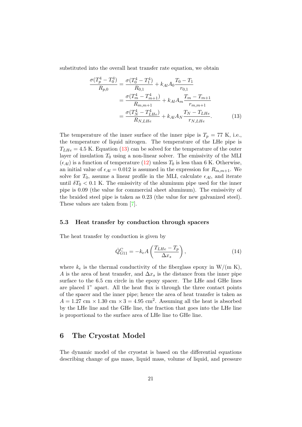substituted into the overall heat transfer rate equation, we obtain

<span id="page-21-1"></span>
$$
\frac{\sigma(T_p^4 - T_0^4)}{R_{p,0}} = \frac{\sigma(T_0^4 - T_1^4)}{R_{0,1}} + k_{Al} A_0 \frac{T_0 - T_1}{r_{0,1}}
$$

$$
= \frac{\sigma(T_m^4 - T_{m+1}^4)}{R_{m,m+1}} + k_{Al} A_m \frac{T_m - T_{m+1}}{r_{m,m+1}}
$$

$$
= \frac{\sigma(T_N^4 - T_{LHe}^4)}{R_{N,LHe}} + k_{Al} A_N \frac{T_N - T_{LHe}}{r_{N,LHe}}.
$$
(13)

The temperature of the inner surface of the inner pipe is  $T_p = 77$  K, i.e., the temperature of liquid nitrogen. The temperature of the LHe pipe is  $T_{LHe} = 4.5$  K. Equation [\(13\)](#page-21-1) can be solved for the temperature of the outer layer of insulation  $T_0$  using a non-linear solver. The emissivity of the MLI  $(\epsilon_{Al})$  is a function of temperature [\(12\)](#page-20-0) unless  $T_0$  is less than 6 K. Otherwise, an initial value of  $\epsilon_{Al} = 0.012$  is assumed in the expression for  $R_{m,m+1}$ . We solve for  $T_0$ , assume a linear profile in the MLI, calculate  $\epsilon_{Al}$ , and iterate until  $\delta T_0 < 0.1$  K. The emissivity of the aluminum pipe used for the inner pipe is 0.09 (the value for commercial sheet aluminum). The emissivity of the braided steel pipe is taken as 0.23 (the value for new galvanized steel). These values are taken from [\[7\]](#page-42-7).

#### 5.3 Heat transfer by conduction through spacers

The heat transfer by conduction is given by

$$
\dot{Q}_{G11}^{C} = -k_e A \left( \frac{T_{LHe} - T_p}{\Delta x_s} \right),\tag{14}
$$

where  $k_e$  is the thermal conductivity of the fiberglass epoxy in W/(m K), A is the area of heat transfer, and  $\Delta x_s$  is the distance from the inner pipe surface to the 6.5 cm circle in the epoxy spacer. The LHe and GHe lines are placed 1" apart. All the heat flux is through the three contact points of the spacer and the inner pipe; hence the area of heat transfer is taken as  $A = 1.27$  cm  $\times$  1.30 cm  $\times$  3 = 4.95 cm<sup>2</sup>. Assuming all the heat is absorbed by the LHe line and the GHe line, the fraction that goes into the LHe line is proportional to the surface area of LHe line to GHe line.

## <span id="page-21-0"></span>6 The Cryostat Model

The dynamic model of the cryostat is based on the differential equations describing change of gas mass, liquid mass, volume of liquid, and pressure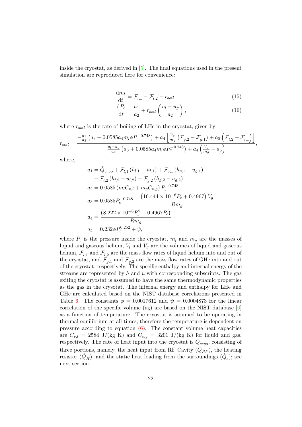inside the cryostat, as derived in [\[5\]](#page-42-0). The final equations used in the present simulation are reproduced here for convenience:

<span id="page-22-0"></span>
$$
\frac{\mathrm{d}m_l}{\mathrm{d}t} = \mathcal{F}_{l,1} - \mathcal{F}_{l,2} - r_{boil},\tag{15}
$$

<span id="page-22-1"></span>
$$
\frac{\mathrm{d}P_c}{\mathrm{d}t} = \frac{a_1}{a_2} + r_{boil} \left(\frac{u_l - u_g}{a_2}\right),\tag{16}
$$

where  $r_{boil}$  is the rate of boiling of LHe in the cryostat, given by

$$
r_{boil} = \frac{-\frac{a_1}{a_2} \left( a_3 + 0.0585 a_4 m_l \phi P_c^{-0.748} \right) + a_4 \left[ \frac{V_g}{m_g} \left( \mathcal{F}_{g,2} - \mathcal{F}_{g,1} \right) + a_5 \left( \mathcal{F}_{l,2} - \mathcal{F}_{l,1} \right) \right]}{\frac{u_l - u_g}{a_2} \left( a_3 + 0.0585 a_4 m_l \phi P_c^{-0.748} \right) + a_4 \left( \frac{V_g}{m_g} - a_5 \right)},
$$

where,

$$
a_1 = \dot{Q}_{cryo} + \mathcal{F}_{l,1} (h_{l,1} - u_{l,1}) + \mathcal{F}_{g,1} (h_{g,1} - u_{g,1})
$$
  
\n
$$
- \mathcal{F}_{l,2} (h_{l,2} - u_{l,2}) - \mathcal{F}_{g,2} (h_{g,2} - u_{g,2})
$$
  
\n
$$
a_2 = 0.0585 (m_l C_{v,l} + m_g C_{v,g}) P_c^{-0.748}
$$
  
\n
$$
a_3 = 0.0585 P_c^{-0.748} - \frac{(16.444 \times 10^{-6} P_c + 0.4967) V_g}{Rm_g}
$$
  
\n
$$
a_4 = \frac{(8.222 \times 10^{-6} P_c^2 + 0.4967 P_c)}{Rm_g}
$$
  
\n
$$
a_5 = 0.232 \phi P_c^{0.252} + \psi,
$$

where  $P_c$  is the pressure inside the cryostat,  $m_l$  and  $m_q$  are the masses of liquid and gaseous helium,  $V_l$  and  $V_g$  are the volumes of liquid and gaseous helium,  $\mathcal{F}_{l,1}$  and  $\mathcal{F}_{l,2}$  are the mass flow rates of liquid helium into and out of the cryostat, and  $\mathcal{F}_{g,1}$  and  $\mathcal{F}_{g,2}$  are the mass flow rates of GHe into and out of the cryostat, respectively. The specific enthalpy and internal energy of the streams are represented by  $h$  and  $u$  with corresponding subscripts. The gas exiting the cryostat is assumed to have the same thermodynamic properties as the gas in the crysotat. The internal energy and enthalpy for LHe and GHe are calculated based on the NIST database correlations presented in Table [6.](#page-16-1) The constants  $\phi = 0.0017612$  and  $\psi = 0.0004873$  for the linear correlation of the specific volume  $(a_5)$  are based on the NIST database [\[6\]](#page-42-1) as a function of temperature. The cryostat is assumed to be operating in thermal equilibrium at all times; therefore the temperature is dependent on pressure according to equation  $(6)$ . The constant volume heat capacities are  $C_{v,l} = 2584 \text{ J/(kg K)}$  and  $C_{v,g} = 3201 \text{ J/(kg K)}$  for liquid and gas, respectively. The rate of heat input into the cryostat is  $\dot{Q}_{cryo}$ , consisting of three portions, namely, the heat input from RF Cavity  $(\dot{Q}_{RF})$ , the heating resistor  $(\dot{Q}_H)$ , and the static heat loading from the surroundings  $(\dot{Q}_s)$ ; see next section.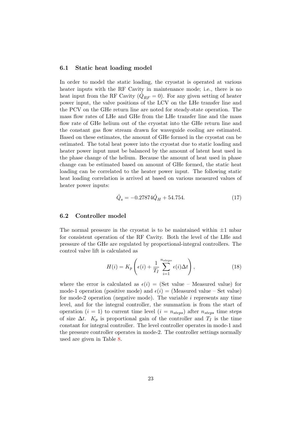#### 6.1 Static heat loading model

In order to model the static loading, the cryostat is operated at various heater inputs with the RF Cavity in maintenance mode; i.e., there is no heat input from the RF Cavity  $(\dot{Q}_{RF} = 0)$ . For any given setting of heater power input, the valve positions of the LCV on the LHe transfer line and the PCV on the GHe return line are noted for steady-state operation. The mass flow rates of LHe and GHe from the LHe transfer line and the mass flow rate of GHe helium out of the cryostat into the GHe return line and the constant gas flow stream drawn for waveguide cooling are estimated. Based on these estimates, the amount of GHe formed in the cryostat can be estimated. The total heat power into the cryostat due to static loading and heater power input must be balanced by the amount of latent heat used in the phase change of the helium. Because the amount of heat used in phase change can be estimated based on amount of GHe formed, the static heat loading can be correlated to the heater power input. The following static heat loading correlation is arrived at based on various measured values of heater power inputs:

$$
\dot{Q}_s = -0.27874\dot{Q}_H + 54.754.\tag{17}
$$

#### 6.2 Controller model

The normal pressure in the cryostat is to be maintained within  $\pm 1$  mbar for consistent operation of the RF Cavity. Both the level of the LHe and pressure of the GHe are regulated by proportional-integral controllers. The control valve lift is calculated as

<span id="page-23-0"></span>
$$
H(i) = K_p \left( \epsilon(i) + \frac{1}{T_I} \sum_{i=1}^{n_{steps}} \epsilon(i) \Delta t \right), \qquad (18)
$$

where the error is calculated as  $\epsilon(i) =$  (Set value – Measured value) for mode-1 operation (positive mode) and  $\epsilon(i) =$  (Measured value – Set value) for mode-2 operation (negative mode). The variable  $i$  represents any time level, and for the integral controller, the summation is from the start of operation  $(i = 1)$  to current time level  $(i = n_{steps})$  after  $n_{steps}$  time steps of size  $\Delta t$ .  $K_p$  is proportional gain of the controller and  $T_I$  is the time constant for integral controller. The level controller operates in mode-1 and the pressure controller operates in mode-2. The controller settings normally used are given in Table [8.](#page-24-1)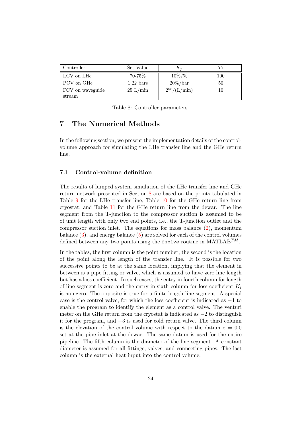| Controller       | Set Value           | $\mathbf{r}_n$  |     |
|------------------|---------------------|-----------------|-----|
| LCV on LHe       | 70-75%              | $10\%/%$        | 100 |
| PCV on GHe       | $1.22 \text{ bars}$ | $20\% /bar$     | 50  |
| FCV on waveguide | $25 \text{ L/min}$  | $2\% / (L/min)$ | 10  |
| stream           |                     |                 |     |

<span id="page-24-1"></span>Table 8: Controller parameters.

## <span id="page-24-0"></span>7 The Numerical Methods

In the following section, we present the implementation details of the controlvolume approach for simulating the LHe transfer line and the GHe return line.

#### 7.1 Control-volume definition

The results of lumped system simulation of the LHe transfer line and GHe return network presented in Section [8](#page-31-0) are based on the points tabulated in Table [9](#page-25-0) for the LHe transfer line, Table [10](#page-26-0) for the GHe return line from cryostat, and Table [11](#page-27-0) for the GHe return line from the dewar. The line segment from the T-junction to the compressor suction is assumed to be of unit length with only two end points, i.e., the T-junction outlet and the compressor suction inlet. The equations for mass balance  $(2)$ , momentum balance  $(3)$ , and energy balance  $(5)$  are solved for each of the control volumes defined between any two points using the fsolve routine in  $\text{MATLAB}^{TM}$ .

In the tables, the first column is the point number; the second is the location of the point along the length of the transfer line. It is possible for two successive points to be at the same location, implying that the element in between is a pipe fitting or valve, which is assumed to have zero line length but has a loss coefficient. In such cases, the entry in fourth column for length of line segment is zero and the entry in sixth column for loss coefficient  $K_i$ is non-zero. The opposite is true for a finite-length line segment. A special case is the control valve, for which the loss coefficient is indicated as −1 to enable the program to identify the element as a control valve. The venturi meter on the GHe return from the cryostat is indicated as  $-2$  to distinguish it for the program, and −3 is used for cold return valve. The third column is the elevation of the control volume with respect to the datum  $z = 0.0$ set at the pipe inlet at the dewar. The same datum is used for the entire pipeline. The fifth column is the diameter of the line segment. A constant diameter is assumed for all fittings, valves, and connecting pipes. The last column is the external heat input into the control volume.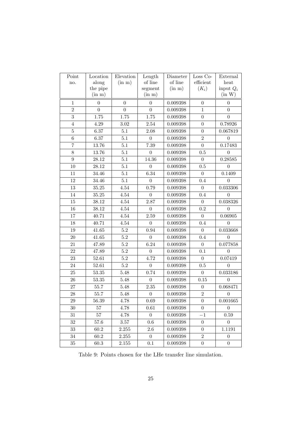| Point           | Location         | Elevation        | Length           | Diameter       | Loss Co-                   | External         |
|-----------------|------------------|------------------|------------------|----------------|----------------------------|------------------|
| no.             | along            | (in m)           | of line          | of line        | $\operatorname{efficient}$ | heat             |
|                 | the pipe         |                  | segment          | (in m)         | $(K_i)$                    | input $Q_i$      |
|                 | (in m)           |                  | (in m)           |                |                            | (in W)           |
| $\mathbf{1}$    | $\Omega$         | $\overline{0}$   | $\overline{0}$   | 0.009398       | $\theta$                   | $\overline{0}$   |
| $\overline{2}$  | $\boldsymbol{0}$ | $\boldsymbol{0}$ | $\boldsymbol{0}$ | 0.009398       | $\mathbf{1}$               | $\overline{0}$   |
| 3               | $1.75\,$         | $1.75\,$         | $1.75\,$         | 0.009398       | $\overline{0}$             | $\overline{0}$   |
| $\overline{4}$  | $4.29\,$         | $3.02\,$         | 2.54             | 0.009398       | $\boldsymbol{0}$           | 0.78926          |
| $\overline{5}$  | $6.37\,$         | 5.1              | 2.08             | 0.009398       | $\theta$                   | 0.067819         |
| $6\phantom{.}6$ | 6.37             | 5.1              | $\overline{0}$   | 0.009398       | $\overline{2}$             | $\overline{0}$   |
| $\overline{7}$  | 13.76            | 5.1              | 7.39             | 0.009398       | $\boldsymbol{0}$           | 0.17483          |
| $8\,$           | 13.76            | 5.1              | $\boldsymbol{0}$ | 0.009398       | 0.5                        | $\boldsymbol{0}$ |
| 9               | 28.12            | 5.1              | 14.36            | 0.009398       | $\overline{0}$             | 0.28585          |
| 10              | 28.12            | 5.1              | $\overline{0}$   | 0.009398       | 0.5                        | $\overline{0}$   |
| 11              | 34.46            | 5.1              | 6.34             | 0.009398       | $\overline{0}$             | 0.1409           |
| 12              | 34.46            | 5.1              | $\overline{0}$   | 0.009398       | 0.4                        | $\overline{0}$   |
| 13              | $35.25\,$        | $4.54\,$         | 0.79             | 0.009398       | $\overline{0}$             | 0.033306         |
| 14              | $35.25\,$        | $4.54\,$         | $\boldsymbol{0}$ | 0.009398       | $0.4\,$                    | $\theta$         |
| 15              | 38.12            | $4.54\,$         | 2.87             | 0.009398       | $\overline{0}$             | 0.038326         |
| 16              | 38.12            | $4.54\,$         | $\boldsymbol{0}$ | 0.009398       | $0.2\,$                    | $\overline{0}$   |
| 17              | 40.71            | $4.54\,$         | 2.59             | 0.009398       | $\theta$                   | 0.06905          |
| 18              | 40.71            | $4.54\,$         | $\overline{0}$   | 0.009398       | 0.4                        | $\overline{0}$   |
| 19              | $41.65\,$        | $5.2\,$          | 0.94             | 0.009398       | $\overline{0}$             | 0.033668         |
| 20              | $41.65\,$        | $5.2\,$          | $\boldsymbol{0}$ | 0.009398       | 0.4                        | $\boldsymbol{0}$ |
| 21              | 47.89            | $5.2\,$          | 6.24             | 0.009398       | $\overline{0}$             | 0.077858         |
| 22              | 47.89            | $5.2\,$          | $\boldsymbol{0}$ | 0.009398       | 0.1                        | $\overline{0}$   |
| 23              | 52.61            | $5.2\,$          | 4.72             | 0.009398       | $\overline{0}$             | 0.07419          |
| 24              | 52.61            | 5.2              | $\overline{0}$   | 0.009398       | 0.5                        | $\overline{0}$   |
| 25              | $53.35\,$        | 5.48             | 0.74             | 0.009398       | $\overline{0}$             | 0.033186         |
| 26              | $53.35\,$        | 5.48             | $\boldsymbol{0}$ | 0.009398       | $0.15\,$                   | $\boldsymbol{0}$ |
| 27              | 55.7             | 5.48             | 2.35             | 0.009398       | $\boldsymbol{0}$           | 0.068471         |
| 28              | 55.7             | 5.48             | $\boldsymbol{0}$ | 0.009398       | $\overline{2}$             | $\boldsymbol{0}$ |
| $\,29$          | 56.39            | 4.78             | $0.69\,$         | $\,0.009398\,$ | $\overline{0}$             | 0.001665         |
| 30              | 57               | 4.78             | 0.61             | 0.009398       | $\theta$                   | $\boldsymbol{0}$ |
| 31              | 57               | 4.78             | $\overline{0}$   | 0.009398       | $-1$                       | 0.59             |
| $32\,$          | 57.6             | 3.57             | 0.6              | 0.009398       | $\boldsymbol{0}$           | $\boldsymbol{0}$ |
| 33              | 60.2             | 2.255            | 2.6              | 0.009398       | $\overline{0}$             | 1.1191           |
| 34              | 60.2             | 2.255            | $\overline{0}$   | 0.009398       | $\overline{2}$             | $\overline{0}$   |
| 35              | $60.3\,$         | 2.155            | 0.1              | 0.009398       | $\boldsymbol{0}$           | $\boldsymbol{0}$ |

<span id="page-25-0"></span>Table 9: Points chosen for the LHe transfer line simulation.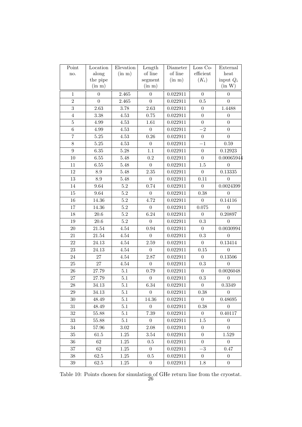| Point          | Location        | Elevation | Length           | Diameter | Loss Co-         | External             |
|----------------|-----------------|-----------|------------------|----------|------------------|----------------------|
| no.            | along           | (in m)    | of line          | of line  | efficient        | heat                 |
|                | the pipe        |           | segment          | (in m)   | $(K_i)$          | input $Q_i$          |
|                | (in m)          |           | (in m)           |          |                  | (in W)               |
| $\mathbf{1}$   | $\theta$        | 2.465     | $\overline{0}$   | 0.022911 | $\theta$         | $\overline{0}$       |
| $\overline{2}$ | $\overline{0}$  | 2.465     | $\theta$         | 0.022911 | $0.5\,$          | $\overline{0}$       |
| 3              | 2.63            | 3.78      | 2.63             | 0.022911 | $\overline{0}$   | 1.4488               |
| $\overline{4}$ | $3.38\,$        | 4.53      | 0.75             | 0.022911 | $\boldsymbol{0}$ | $\boldsymbol{0}$     |
| $\overline{5}$ | $4.99\,$        | 4.53      | 1.61             | 0.022911 | $\overline{0}$   | $\overline{0}$       |
| $\,6$          | $4.99\,$        | $4.53\,$  | $\overline{0}$   | 0.022911 | $-2$             | $\Omega$             |
| $\overline{7}$ | $5.25\,$        | 4.53      | 0.26             | 0.022911 | $\overline{0}$   | $\boldsymbol{0}$     |
| $8\,$          | $5.25\,$        | 4.53      | $\boldsymbol{0}$ | 0.022911 | $-1$             | 0.59                 |
| 9              | $6.35\,$        | 5.28      | $1.1\,$          | 0.022911 | $\overline{0}$   | 0.12923              |
| $10\,$         | $6.55\,$        | 5.48      | $\rm 0.2$        | 0.022911 | $\boldsymbol{0}$ | 0.00065944           |
| 11             | $6.55\,$        | 5.48      | $\boldsymbol{0}$ | 0.022911 | 1.5              | $\overline{0}$       |
| 12             | $\!\!\!\!\!8.9$ | 5.48      | 2.35             | 0.022911 | $\overline{0}$   | $\overline{0.13335}$ |
| 13             | $\!\!\!\!\!8.9$ | 5.48      | $\boldsymbol{0}$ | 0.022911 | $0.11\,$         | $\theta$             |
| 14             | 9.64            | $5.2\,$   | 0.74             | 0.022911 | $\boldsymbol{0}$ | 0.0024399            |
| 15             | $\ \, 9.64$     | $5.2\,$   | $\overline{0}$   | 0.022911 | 0.38             | $\overline{0}$       |
| $16\,$         | 14.36           | $5.2\,$   | 4.72             | 0.022911 | $\overline{0}$   | 0.14116              |
| 17             | 14.36           | $5.2\,$   | $\boldsymbol{0}$ | 0.022911 | 0.075            | $\overline{0}$       |
| 18             | $20.6\,$        | $5.2\,$   | 6.24             | 0.022911 | $\overline{0}$   | 0.20897              |
| 19             | $20.6\,$        | $5.2\,$   | $\overline{0}$   | 0.022911 | $\rm 0.3$        | $\overline{0}$       |
| $20\,$         | $21.54\,$       | $4.54\,$  | 0.94             | 0.022911 | $\boldsymbol{0}$ | 0.0030994            |
| 21             | $21.54\,$       | $4.54\,$  | $\overline{0}$   | 0.022911 | 0.3              | $\overline{0}$       |
| 22             | 24.13           | $4.54\,$  | 2.59             | 0.022911 | $\overline{0}$   | 0.13414              |
| 23             | 24.13           | $4.54\,$  | $\boldsymbol{0}$ | 0.022911 | $0.15\,$         | $\Omega$             |
| 24             | 27              | $4.54\,$  | 2.87             | 0.022911 | $\overline{0}$   | 0.13506              |
| $25\,$         | 27              | $4.54\,$  | $\boldsymbol{0}$ | 0.022911 | 0.3              | $\overline{0}$       |
| 26             | 27.79           | 5.1       | 0.79             | 0.022911 | $\overline{0}$   | 0.0026048            |
| $27\,$         | 27.79           | 5.1       | $\overline{0}$   | 0.022911 | 0.3              | $\overline{0}$       |
| $28\,$         | 34.13           | 5.1       | 6.34             | 0.022911 | $\boldsymbol{0}$ | 0.3349               |
| 29             | 34.13           | $5.1\,$   | $\theta$         | 0.022911 | 0.38             | $\theta$             |
| 30             | 48.49           | 5.1       | 14.36            | 0.022911 | $\overline{0}$   | 0.48695              |
| $31\,$         | 48.49           | 5.1       | $\boldsymbol{0}$ | 0.022911 | 0.38             | $\overline{0}$       |
| 32             | 55.88           | $5.1\,$   | 7.39             | 0.022911 | $\overline{0}$   | 0.40117              |
| 33             | 55.88           | 5.1       | $\overline{0}$   | 0.022911 | $1.5\,$          | $\boldsymbol{0}$     |
| $34\,$         | 57.96           | $3.02\,$  | 2.08             | 0.022911 | $\overline{0}$   | $\overline{0}$       |
| 35             | 61.5            | 1.25      | 3.54             | 0.022911 | $\overline{0}$   | 1.529                |
| 36             | 62              | 1.25      | $0.5\,$          | 0.022911 | $\overline{0}$   | $\boldsymbol{0}$     |
| $37\,$         | $62\,$          | 1.25      | $\boldsymbol{0}$ | 0.022911 | $-3$             | $0.47\,$             |
| 38             | 62.5            | $1.25\,$  | $0.5\,$          | 0.022911 | $\overline{0}$   | $\overline{0}$       |
| $39\,$         | 62.5            | $1.25\,$  | $\boldsymbol{0}$ | 0.022911 | 1.8              | $\boldsymbol{0}$     |

<span id="page-26-0"></span>Table 10: Points chosen for simulation of GHe return line from the cryostat.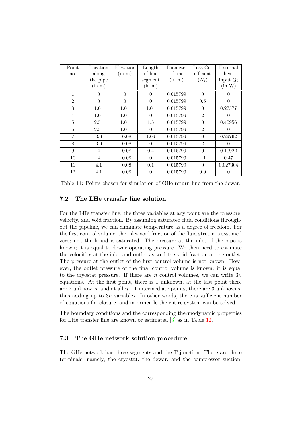| Point          | Location       | Elevation | Length   | Diameter | $Loss Co-$     | External    |
|----------------|----------------|-----------|----------|----------|----------------|-------------|
| no.            | along          | (in m)    | of line  | of line  | efficient      | heat        |
|                | the pipe       |           | segment  | (in m)   | $(K_i)$        | input $Q_i$ |
|                | (in m)         |           | (in m)   |          |                | (in W)      |
| 1              | $\Omega$       | $\Omega$  | $\Omega$ | 0.015799 | $\Omega$       | $\Omega$    |
| $\overline{2}$ | $\theta$       | $\theta$  | $\theta$ | 0.015799 | 0.5            | $\theta$    |
| 3              | 1.01           | 1.01      | 1.01     | 0.015799 | $\Omega$       | 0.27577     |
| $\overline{4}$ | 1.01           | 1.01      | $\Omega$ | 0.015799 | $\overline{2}$ | $\Omega$    |
| 5              | 2.51           | 1.01      | 1.5      | 0.015799 | $\theta$       | 0.40956     |
| 6              | 2.51           | 1.01      | $\theta$ | 0.015799 | $\overline{2}$ | 0           |
| $\overline{7}$ | 3.6            | $-0.08$   | 1.09     | 0.015799 | $\theta$       | 0.29762     |
| 8              | $3.6\,$        | $-0.08$   | $\theta$ | 0.015799 | $\overline{2}$ | 0           |
| 9              | 4              | $-0.08$   | 0.4      | 0.015799 | $\theta$       | 0.10922     |
| 10             | $\overline{4}$ | $-0.08$   | $\Omega$ | 0.015799 | $-1$           | 0.47        |
| 11             | 4.1            | $-0.08$   | 0.1      | 0.015799 | $\theta$       | 0.027304    |
| 12             | 4.1            | $-0.08$   | $\theta$ | 0.015799 | 0.9            | 0           |

<span id="page-27-0"></span>

| Table 11: Points chosen for simulation of GHe return line from the dewar. |  |
|---------------------------------------------------------------------------|--|
|---------------------------------------------------------------------------|--|

#### 7.2 The LHe transfer line solution

For the LHe transfer line, the three variables at any point are the pressure, velocity, and void fraction. By assuming saturated fluid conditions throughout the pipeline, we can eliminate temperature as a degree of freedom. For the first control volume, the inlet void fraction of the fluid stream is assumed zero; i.e., the liquid is saturated. The pressure at the inlet of the pipe is known; it is equal to dewar operating pressure. We then need to estimate the velocities at the inlet and outlet as well the void fraction at the outlet. The pressure at the outlet of the first control volume is not known. However, the outlet pressure of the final control volume is known; it is equal to the cryostat pressure. If there are  $n$  control volumes, we can write  $3n$ equations. At the first point, there is 1 unknown, at the last point there are 2 unknowns, and at all  $n-1$  intermediate points, there are 3 unknowns, thus adding up to  $3n$  variables. In other words, there is sufficient number of equations for closure, and in principle the entire system can be solved.

The boundary conditions and the corresponding thermodynamic properties for LHe transfer line are known or estimated [\[3\]](#page-42-5) as in Table [12.](#page-28-0)

#### <span id="page-27-1"></span>7.3 The GHe network solution procedure

The GHe network has three segments and the T-junction. There are three terminals, namely, the cryostat, the dewar, and the compressor suction.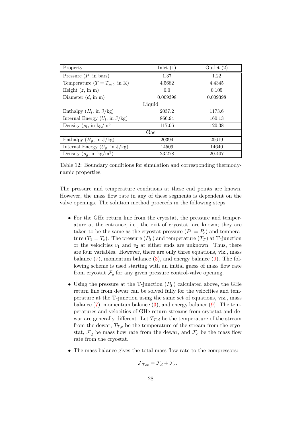| Property                                         | Inlet $(1)$ | Outlet $(2)$ |  |  |  |  |
|--------------------------------------------------|-------------|--------------|--|--|--|--|
| Pressure $(P, \text{ in bars})$                  | 1.37        | 1.22         |  |  |  |  |
| Temperature $(T = T_{sat}, \text{ in } K)$       | 4.5682      | 4.4345       |  |  |  |  |
| Height $(z, \text{ in m})$                       | 0.0         | 0.105        |  |  |  |  |
| Diameter $(d, in m)$                             | 0.009398    | 0.009398     |  |  |  |  |
| Liquid                                           |             |              |  |  |  |  |
| Enthalpy $(H_l, \text{ in } J/kg)$               | 2037.2      | 1173.6       |  |  |  |  |
| Internal Energy $(U_l, \text{ in } J/\text{kg})$ | 866.94      | 160.13       |  |  |  |  |
| Density $(\rho_l, \text{ in } \text{kg/m}^3)$    | 117.06      | 120.38       |  |  |  |  |
| Gas                                              |             |              |  |  |  |  |
| Enthalpy $(H_q, \text{ in } J/kg)$               | 20394       | 20619        |  |  |  |  |
| Internal Energy $(U_q, \text{ in } J/\text{kg})$ | 14509       | 14640        |  |  |  |  |
| Density $(\rho_g, \text{ in } \text{kg/m}^3)$    | 23.278      | 20.407       |  |  |  |  |

<span id="page-28-0"></span>Table 12: Boundary conditions for simulation and corresponding thermodynamic properties.

The pressure and temperature conditions at these end points are known. However, the mass flow rate in any of these segments is dependent on the valve openings. The solution method proceeds in the following steps:

- For the GHe return line from the cryostat, the pressure and temperature at the entrance, i.e., the exit of cryostat, are known; they are taken to be the same as the cryostat pressure  $(P_1 = P_c)$  and temperature  $(T_1 = T_c)$ . The pressure  $(P_T)$  and temperature  $(T_T)$  at T-junction or the velocities  $v_1$  and  $v_2$  at either ends are unknown. Thus, there are four variables. However, there are only three equations, viz., mass balance  $(7)$ , momentum balance  $(3)$ , and energy balance  $(9)$ . The following scheme is used starting with an initial guess of mass flow rate from cryostat  $\mathcal{F}_c$  for any given pressure control-valve opening.
- Using the pressure at the T-junction  $(P_T)$  calculated above, the GHe return line from dewar can be solved fully for the velocities and temperature at the T-junction using the same set of equations, viz., mass balance  $(7)$ , momentum balance  $(3)$ , and energy balance  $(9)$ . The temperatures and velocities of GHe return streams from cryostat and dewar are generally different. Let  $T_{T,d}$  be the temperature of the stream from the dewar,  $T_{T,c}$  be the temperature of the stream from the cryostat,  $\mathcal{F}_d$  be mass flow rate from the dewar, and  $\mathcal{F}_c$  be the mass flow rate from the cryostat.
- The mass balance gives the total mass flow rate to the compressors:

$$
\mathcal{F}_{Tot} = \mathcal{F}_d + \mathcal{F}_c.
$$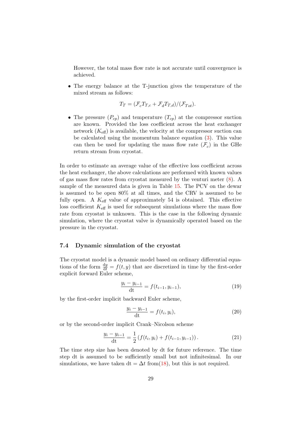However, the total mass flow rate is not accurate until convergence is achieved.

• The energy balance at the T-junction gives the temperature of the mixed stream as follows:

$$
T_T = (\mathcal{F}_c T_{T,c} + \mathcal{F}_d T_{T,d}) / (\mathcal{F}_{Tot}).
$$

• The pressure  $(P_{cp})$  and temperature  $(T_{cp})$  at the compressor suction are known. Provided the loss coefficient across the heat exchanger network  $(K_{\text{eff}})$  is available, the velocity at the compressor suction can be calculated using the momentum balance equation [\(3\)](#page-13-0). This value can then be used for updating the mass flow rate  $(\mathcal{F}_c)$  in the GHe return stream from cryostat.

In order to estimate an average value of the effective loss coefficient across the heat exchanger, the above calculations are performed with known values of gas mass flow rates from cryostat measured by the venturi meter [\(8\)](#page-17-1). A sample of the measured data is given in Table [15.](#page-34-0) The PCV on the dewar is assumed to be open 80% at all times, and the CRV is assumed to be fully open. A  $K_{\text{eff}}$  value of approximately 54 is obtained. This effective loss coefficient  $K_{\text{eff}}$  is used for subsequent simulations where the mass flow rate from cryostat is unknown. This is the case in the following dynamic simulation, where the cryostat valve is dynamically operated based on the pressure in the cryostat.

#### 7.4 Dynamic simulation of the cryostat

The cryostat model is a dynamic model based on ordinary differential equations of the form  $\frac{dy}{dt} = f(t, y)$  that are discretized in time by the first-order explicit forward Euler scheme,

$$
\frac{y_i - y_{i-1}}{dt} = f(t_{i-1}, y_{i-1}),
$$
\n(19)

by the first-order implicit backward Euler scheme,

$$
\frac{y_i - y_{i-1}}{dt} = f(t_i, y_i),
$$
\n(20)

or by the second-order implicit Crank–Nicolson scheme

$$
\frac{y_i - y_{i-1}}{dt} = \frac{1}{2} \left( f(t_i, y_i) + f(t_{i-1}, y_{i-1}) \right). \tag{21}
$$

The time step size has been denoted by dt for future reference. The time step dt is assumed to be sufficiently small but not infinitesimal. In our simulations, we have taken dt =  $\Delta t$  from[\(18\)](#page-23-0), but this is not required.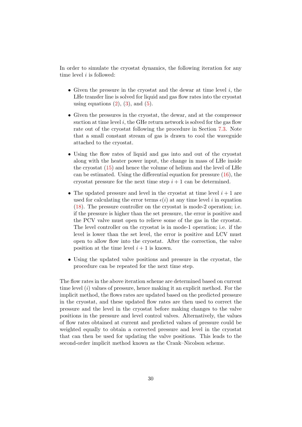In order to simulate the cryostat dynamics, the following iteration for any time level  $i$  is followed:

- Given the pressure in the cryostat and the dewar at time level  $i$ , the LHe transfer line is solved for liquid and gas flow rates into the cryostat using equations  $(2)$ ,  $(3)$ , and  $(5)$ .
- Given the pressures in the cryostat, the dewar, and at the compressor suction at time level  $i$ , the GHe return network is solved for the gas flow rate out of the cryostat following the procedure in Section [7.3.](#page-27-1) Note that a small constant stream of gas is drawn to cool the waveguide attached to the cryostat.
- Using the flow rates of liquid and gas into and out of the cryostat along with the heater power input, the change in mass of LHe inside the cryostat  $(15)$  and hence the volume of helium and the level of LHe can be estimated. Using the differential equation for pressure  $(16)$ , the cryostat pressure for the next time step  $i + 1$  can be determined.
- The updated pressure and level in the cryostat at time level  $i + 1$  are used for calculating the error terms  $\epsilon(i)$  at any time level i in equation [\(18\)](#page-23-0). The pressure controller on the cryostat is mode-2 operation; i.e. if the pressure is higher than the set pressure, the error is positive and the PCV valve must open to relieve some of the gas in the cryostat. The level controller on the cryostat is in mode-1 operation; i.e. if the level is lower than the set level, the error is positive and LCV must open to allow flow into the cryostat. After the correction, the valve position at the time level  $i + 1$  is known.
- Using the updated valve positions and pressure in the cryostat, the procedure can be repeated for the next time step.

The flow rates in the above iteration scheme are determined based on current time level  $(i)$  values of pressure, hence making it an explicit method. For the implicit method, the flows rates are updated based on the predicted pressure in the cryostat, and these updated flow rates are then used to correct the pressure and the level in the cryostat before making changes to the valve positions in the pressure and level control valves. Alternatively, the values of flow rates obtained at current and predicted values of pressure could be weighted equally to obtain a corrected pressure and level in the cryostat that can then be used for updating the valve positions. This leads to the second-order implicit method known as the Crank–Nicolson scheme.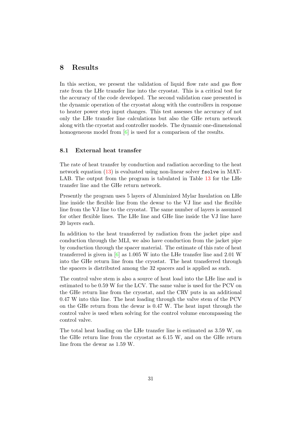## <span id="page-31-0"></span>8 Results

In this section, we present the validation of liquid flow rate and gas flow rate from the LHe transfer line into the cryostat. This is a critical test for the accuracy of the code developed. The second validation case presented is the dynamic operation of the cryostat along with the controllers in response to heater power step input changes. This test assesses the accuracy of not only the LHe transfer line calculations but also the GHe return network along with the cryostat and controller models. The dynamic one-dimensional homogeneous model from [\[6\]](#page-42-1) is used for a comparison of the results.

#### 8.1 External heat transfer

The rate of heat transfer by conduction and radiation according to the heat network equation [\(13\)](#page-21-1) is evaluated using non-linear solver fsolve in MAT-LAB. The output from the program is tabulated in Table [13](#page-32-0) for the LHe transfer line and the GHe return network.

Presently the program uses 5 layers of Aluminized Mylar Insulation on LHe line inside the flexible line from the dewar to the VJ line and the flexible line from the VJ line to the cryostat. The same number of layers is assumed for other flexible lines. The LHe line and GHe line inside the VJ line have 20 layers each.

In addition to the heat transferred by radiation from the jacket pipe and conduction through the MLI, we also have conduction from the jacket pipe by conduction through the spacer material. The estimate of this rate of heat transferred is given in [\[6\]](#page-42-1) as 1.005 W into the LHe transfer line and 2.01 W into the GHe return line from the cryostat. The heat transferred through the spacers is distributed among the 32 spacers and is applied as such.

The control valve stem is also a source of heat load into the LHe line and is estimated to be 0.59 W for the LCV. The same value is used for the PCV on the GHe return line from the cryostat, and the CRV puts in an additional 0.47 W into this line. The heat loading through the valve stem of the PCV on the GHe return from the dewar is 0.47 W. The heat input through the control valve is used when solving for the control volume encompassing the control valve.

The total heat loading on the LHe transfer line is estimated as 3.59 W, on the GHe return line from the cryostat as 6.15 W, and on the GHe return line from the dewar as 1.59 W.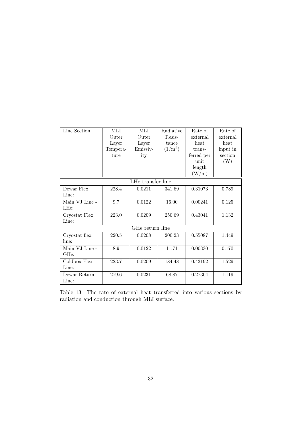| Line Section      | MЫ              | MЫ       | Radiative | Rate of    | Rate of   |  |  |
|-------------------|-----------------|----------|-----------|------------|-----------|--|--|
|                   | Outer           | Outer    | Resis-    | external   | external  |  |  |
|                   | Layer           | Layer    | tance     | heat       | heat      |  |  |
|                   | Tempera-        | Emissiv- | $(1/m^2)$ | trans-     | input in  |  |  |
|                   | ture            | ity      |           | ferred per | section   |  |  |
|                   |                 |          |           | unit       | (W)       |  |  |
|                   |                 |          |           | length     |           |  |  |
|                   |                 |          |           | (W/m)      |           |  |  |
| LHe transfer line |                 |          |           |            |           |  |  |
| Dewar Flex        | 228.4           | 0.0211   | 341.69    | 0.31073    | 0.789     |  |  |
| Line:             |                 |          |           |            |           |  |  |
| Main VJ Line -    | 9.7             | 0.0122   | 16.00     | 0.00241    | 0.125     |  |  |
| LHe:              |                 |          |           |            |           |  |  |
| Cryostat Flex     | 223.0           | 0.0209   | 250.69    | 0.43041    | 1.132     |  |  |
| Line:             |                 |          |           |            |           |  |  |
|                   | GHe return line |          |           |            |           |  |  |
| Cryostat flex     | 220.5           | 0.0208   | 200.23    | 0.55087    | 1.449     |  |  |
| line:             |                 |          |           |            |           |  |  |
| Main VJ Line -    | 8.9             | 0.0122   | 11.71     | 0.00330    | 0.170     |  |  |
| GH <sub>e</sub> : |                 |          |           |            |           |  |  |
| Coldbox Flex      | 223.7           | 0.0209   | 184.48    | 0.43192    | $1.529\,$ |  |  |
| Line:             |                 |          |           |            |           |  |  |
| Dewar Return      | 279.6           | 0.0231   | 68.87     | 0.27304    | 1.119     |  |  |
| Line:             |                 |          |           |            |           |  |  |

<span id="page-32-0"></span>Table 13: The rate of external heat transferred into various sections by radiation and conduction through MLI surface.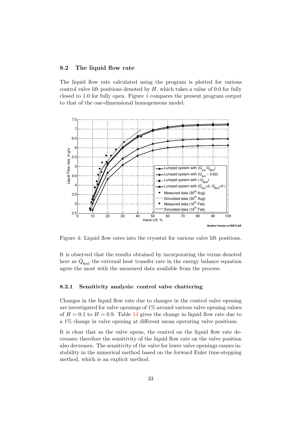#### <span id="page-33-0"></span>8.2 The liquid flow rate

The liquid flow rate calculated using the program is plotted for various control valve lift positions denoted by  $H$ , which takes a value of 0.0 for fully closed to 1.0 for fully open. Figure [4](#page-33-1) compares the present program output to that of the one-dimensional homogeneous model.



<span id="page-33-1"></span>Figure 4: Liquid flow rates into the cryostat for various valve lift positions.

It is observed that the results obtained by incorporating the terms denoted here as  $\dot{Q}_{boil}$  the external heat transfer rate in the energy balance equation agree the most with the measured data available from the process.

#### 8.2.1 Sensitivity analysis: control valve chattering

Changes in the liquid flow rate due to changes in the control valve opening are investigated for valve openings of 1% around various valve opening values of  $H = 0.1$  to  $H = 0.9$ . Table [14](#page-34-1) gives the change in liquid flow rate due to a 1% change in valve opening at different mean operating valve positions.

It is clear that as the valve opens, the control on the liquid flow rate decreases; therefore the sensitivity of the liquid flow rate on the valve position also decreases. The sensitivity of the valve for lower valve openings causes instability in the numerical method based on the forward Euler time-stepping method, which is an explicit method.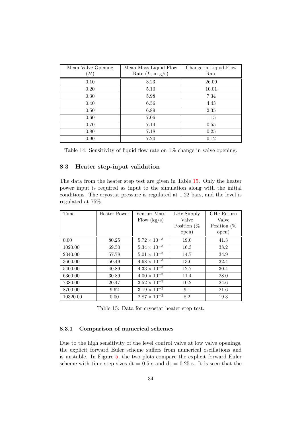| Mean Valve Opening<br>(H) | Mean Mass Liquid Flow<br>Rate $(L, \text{ in } g/s)$ | Change in Liquid Flow<br>Rate |
|---------------------------|------------------------------------------------------|-------------------------------|
| 0.10                      | 3.23                                                 | 26.09                         |
| 0.20                      | 5.10                                                 | 10.01                         |
| 0.40                      | 6.56                                                 | 4.43                          |
| 0.50                      | 6.89                                                 | 2.35                          |
| 0.70                      | 7.14                                                 | 0.55                          |
| 0.80<br>0.90              | 7.18<br>7.20                                         | 0.25<br>0.12                  |
| 0.30<br>0.60              | 5.98<br>7.06                                         | 7.34<br>1.15                  |

<span id="page-34-1"></span>Table 14: Sensitivity of liquid flow rate on 1% change in valve opening.

#### 8.3 Heater step-input validation

The data from the heater step test are given in Table [15.](#page-34-0) Only the heater power input is required as input to the simulation along with the initial conditions. The cryostat pressure is regulated at 1.22 bars, and the level is regulated at 75%.

| Time     | Heater Power | Venturi Mass          | LHe Supply     | GHe Return     |
|----------|--------------|-----------------------|----------------|----------------|
|          |              | Flow $(kg/s)$         | Valve          | Valve          |
|          |              |                       | Position $(\%$ | Position $(\%$ |
|          |              |                       | open)          | open)          |
| 0.00     | 80.25        | $5.72 \times 10^{-3}$ | 19.0           | 41.3           |
| 1020.00  | 69.50        | $5.34 \times 10^{-3}$ | 16.3           | 38.2           |
| 2340.00  | 57.78        | $5.01 \times 10^{-3}$ | 14.7           | 34.9           |
| 3660.00  | 50.49        | $4.68 \times 10^{-3}$ | 13.6           | 32.4           |
| 5400.00  | 40.89        | $4.33 \times 10^{-3}$ | 12.7           | 30.4           |
| 6360.00  | 30.89        | $4.00 \times 10^{-3}$ | 11.4           | 28.0           |
| 7380.00  | 20.47        | $3.52 \times 10^{-3}$ | 10.2           | 24.6           |
| 8700.00  | 9.62         | $3.19 \times 10^{-3}$ | 9.1            | 21.6           |
| 10320.00 | 0.00         | $2.87 \times 10^{-3}$ | 8.2            | 19.3           |

<span id="page-34-0"></span>Table 15: Data for cryostat heater step test.

#### 8.3.1 Comparison of numerical schemes

Due to the high sensitivity of the level control valve at low valve openings, the explicit forward Euler scheme suffers from numerical oscillations and is unstable. In Figure [5,](#page-36-0) the two plots compare the explicit forward Euler scheme with time step sizes dt =  $0.5$  s and dt =  $0.25$  s. It is seen that the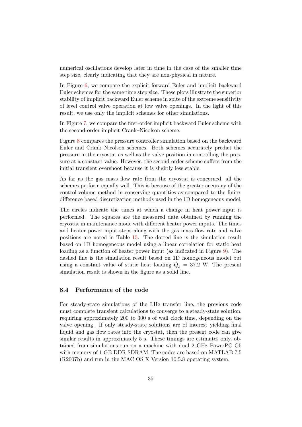numerical oscillations develop later in time in the case of the smaller time step size, clearly indicating that they are non-physical in nature.

In Figure [6,](#page-37-0) we compare the explicit forward Euler and implicit backward Euler schemes for the same time step size. These plots illustrate the superior stability of implicit backward Euler scheme in spite of the extreme sensitivity of level control valve operation at low valve openings. In the light of this result, we use only the implicit schemes for other simulations.

In Figure [7,](#page-38-0) we compare the first-order implicit backward Euler scheme with the second-order implicit Crank–Nicolson scheme.

Figure [8](#page-39-0) compares the pressure controller simulation based on the backward Euler and Crank–Nicolson schemes. Both schemes accurately predict the pressure in the cryostat as well as the valve position in controlling the pressure at a constant value. However, the second-order scheme suffers from the initial transient overshoot because it is slightly less stable.

As far as the gas mass flow rate from the cryostat is concerned, all the schemes perform equally well. This is because of the greater accuracy of the control-volume method in conserving quantities as compared to the finitedifference based discretization methods used in the 1D homogeneous model.

The circles indicate the times at which a change in heat power input is performed. The squares are the measured data obtained by running the cryostat in maintenance mode with different heater power inputs. The times and heater power input steps along with the gas mass flow rate and valve positions are noted in Table [15.](#page-34-0) The dotted line is the simulation result based on 1D homogeneous model using a linear correlation for static heat loading as a function of heater power input (as indicated in Figure [9\)](#page-40-0). The dashed line is the simulation result based on 1D homogeneous model but using a constant value of static heat loading  $\dot{Q}_s = 37.2$  W. The present simulation result is shown in the figure as a solid line.

#### 8.4 Performance of the code

For steady-state simulations of the LHe transfer line, the previous code must complete transient calculations to converge to a steady-state solution, requiring approximately 200 to 300 s of wall clock time, depending on the valve opening. If only steady-state solutions are of interest yielding final liquid and gas flow rates into the cryostat, then the present code can give similar results in approximately 5 s. These timings are estimates only, obtained from simulations run on a machine with dual 2 GHz PowerPC G5 with memory of 1 GB DDR SDRAM. The codes are based on MATLAB 7.5 (R2007b) and run in the MAC OS X Version 10.5.8 operating system.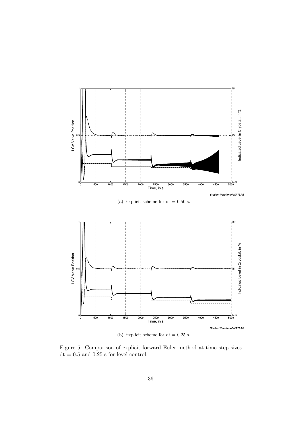

(b) Explicit scheme for  $dt = 0.25$  s.

<span id="page-36-0"></span>Figure 5: Comparison of explicit forward Euler method at time step sizes  $dt = 0.5$  and  $0.25$  s for level control.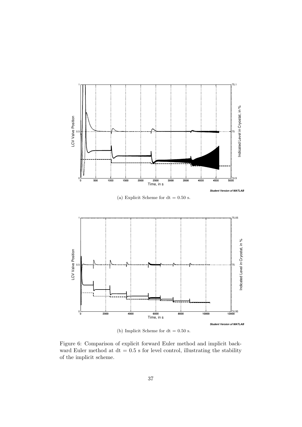

(b) Implicit Scheme for  $dt = 0.50$  s.

<span id="page-37-0"></span>Figure 6: Comparison of explicit forward Euler method and implicit backward Euler method at  $dt = 0.5$  s for level control, illustrating the stability of the implicit scheme.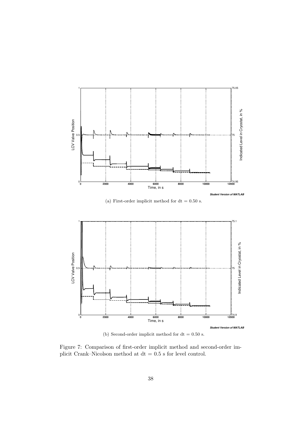

<span id="page-38-0"></span>(b) Second-order implicit method for  $dt = 0.50$  s.

Figure 7: Comparison of first-order implicit method and second-order implicit Crank–Nicolson method at  $dt = 0.5$  s for level control.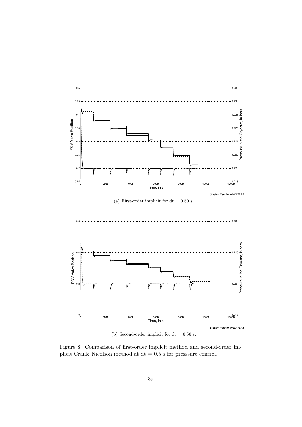

(b) Second-order implicit for  $dt = 0.50$  s.

<span id="page-39-0"></span>Figure 8: Comparison of first-order implicit method and second-order implicit Crank–Nicolson method at  $dt = 0.5$  s for presssure control.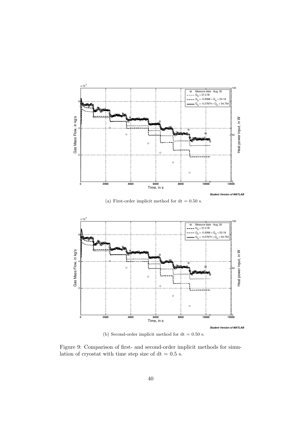

(a) First-order implicit method for  $dt = 0.50$  s.



<span id="page-40-0"></span>(b) Second-order implicit method for  $dt = 0.50$  s.

Figure 9: Comparison of first- and second-order implicit methods for simulation of cryostat with time step size of dt = 0.5 s.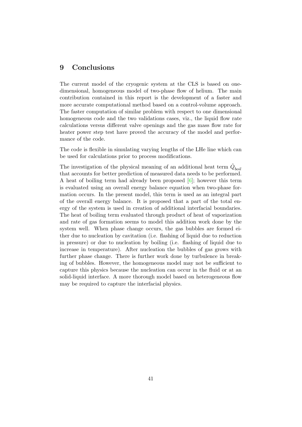## <span id="page-41-0"></span>9 Conclusions

The current model of the cryogenic system at the CLS is based on onedimensional, homogeneous model of two-phase flow of helium. The main contribution contained in this report is the development of a faster and more accurate computational method based on a control-volume approach. The faster computation of similar problem with respect to one dimensional homogeneous code and the two validations cases, viz., the liquid flow rate calculations versus different valve openings and the gas mass flow rate for heater power step test have proved the accuracy of the model and performance of the code.

The code is flexible in simulating varying lengths of the LHe line which can be used for calculations prior to process modifications.

The investigation of the physical meaning of an additional heat term  $\dot{Q}_{boil}$ that accounts for better prediction of measured data needs to be performed. A heat of boiling term had already been proposed [\[6\]](#page-42-1); however this term is evaluated using an overall energy balance equation when two-phase formation occurs. In the present model, this term is used as an integral part of the overall energy balance. It is proposed that a part of the total energy of the system is used in creation of additional interfacial boundaries. The heat of boiling term evaluated through product of heat of vaporization and rate of gas formation seems to model this addition work done by the system well. When phase change occurs, the gas bubbles are formed either due to nucleation by cavitation (i.e. flashing of liquid due to reduction in pressure) or due to nucleation by boiling (i.e. flashing of liquid due to increase in temperature). After nucleation the bubbles of gas grows with further phase change. There is further work done by turbulence in breaking of bubbles. However, the homogeneous model may not be sufficient to capture this physics because the nucleation can occur in the fluid or at an solid-liquid interface. A more thorough model based on heterogeneous flow may be required to capture the interfacial physics.